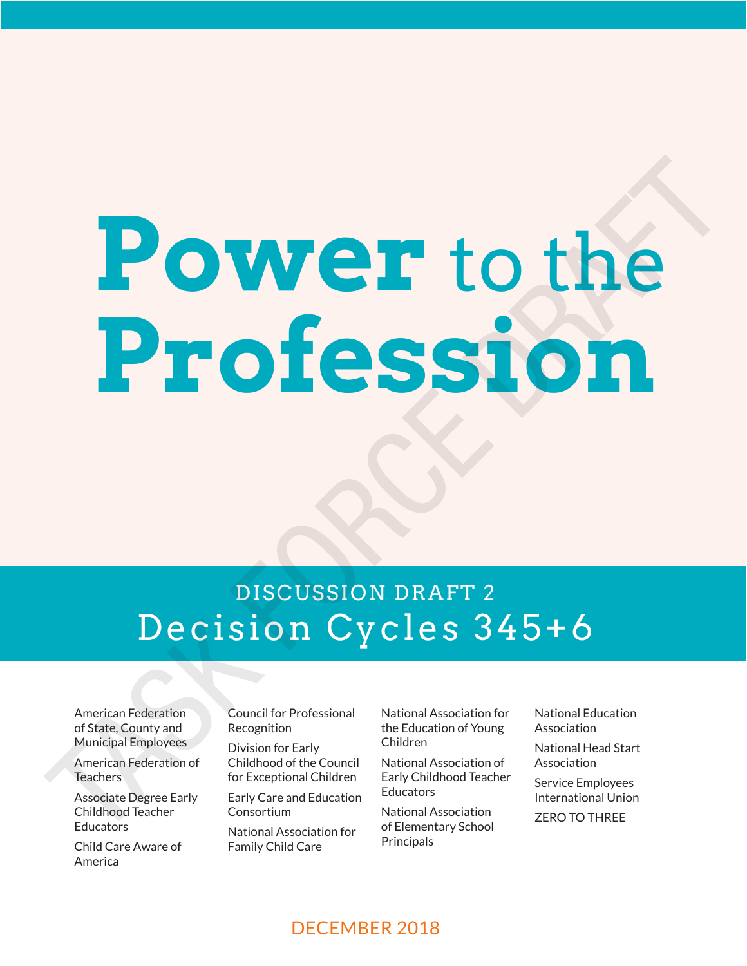# **Power** to the **Profession DRAFT 2**<br>Decision Cycles 345+6

# DISCUSSION DRAFT 2 Decision Cycles 345+6

American Federation of State, County and Municipal Employees

American Federation of Teachers

Associate Degree Early Childhood Teacher **Educators** 

Child Care Aware of America

Council for Professional Recognition

**DISCUSSION DRAFT: DECISION CYCLES 345+6 Power** to the

Division for Early Childhood of the Council for Exceptional Children

Early Care and Education Consortium

National Association for Family Child Care

National Association for the Education of Young Children

National Association of Early Childhood Teacher **Educators** 

National Association of Elementary School **Principals** 

National Education Association

National Head Start Association

Service Employees International Union

ZERO TO THREE

DECEMBER 2018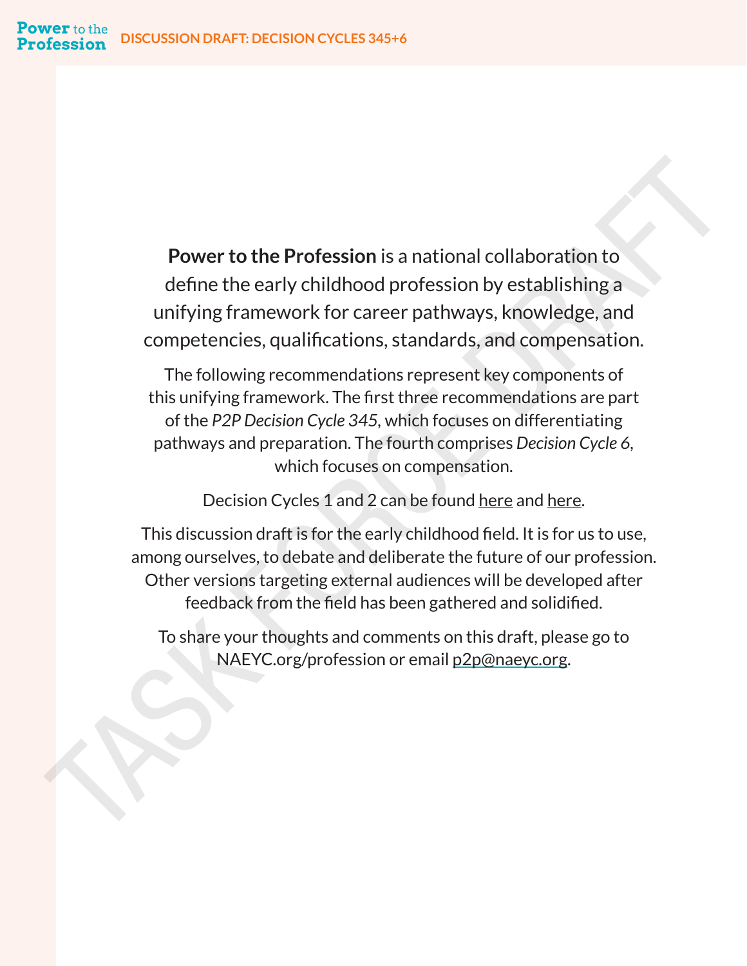**Power to the Profession** is a national collaboration to define the early childhood profession by establishing a unifying framework for career pathways, knowledge, and competencies, qualifications, standards, and compensation.

The following recommendations represent key components of this unifying framework. The first three recommendations are part of the *P2P Decision Cycle 345,* which focuses on differentiating pathways and preparation. The fourth comprises *Decision Cycle 6,*  which focuses on compensation. **Power to the Profession** is a national collaboration to<br>define the early childhood profession by establishing a<br>unifying framework for career pathways, knowledge, and<br>competencies, qualifications, standards, and compensat

Decision Cycles 1 and 2 can be found here and here.

This discussion draft is for the early childhood field. It is for us to use, among ourselves, to debate and deliberate the future of our profession. Other versions targeting external audiences will be developed after feedback from the field has been gathered and solidified.

To share your thoughts and comments on this draft, please go to NAEYC.org/profession or email p2p@naeyc.org.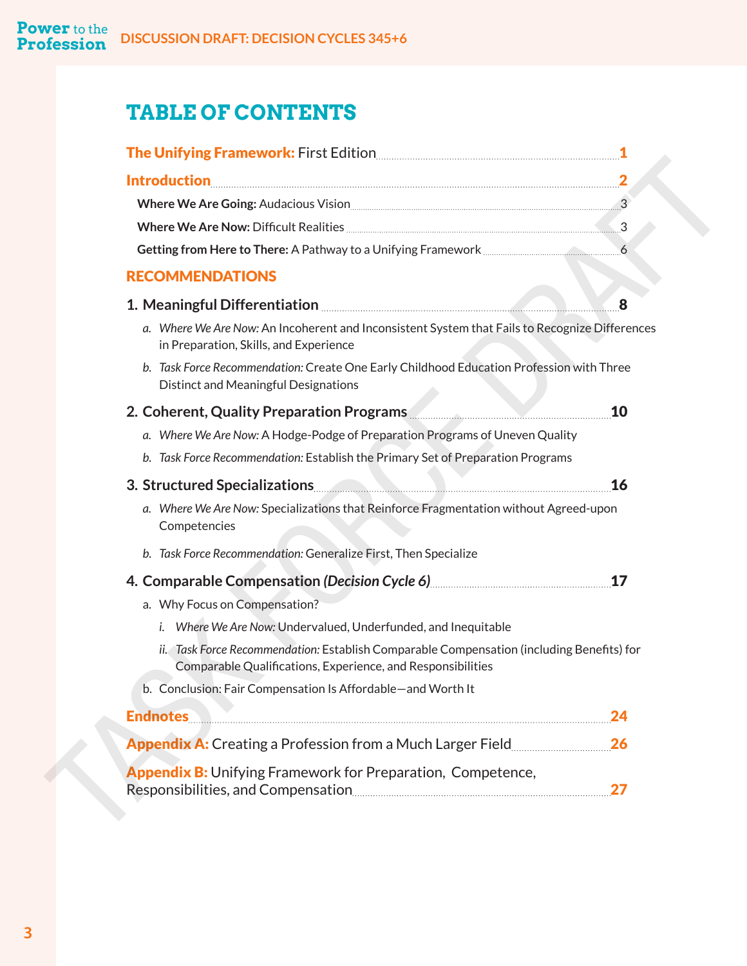# **TABLE OF CONTENTS**

| <u>Introduction 2008 - 2008 10:00 00:00 00:00 00:00 00:00 00:00 00:00 00:00 00:00 00:00 00:00 00:00 00:00 00:00 00:00 00:00 00:00 00:00 00:00 00:00 00:00 00:00 00:00 00:00 00:00 00:00 00:00 00:00 00:00 00:00 00:00 00:00 00:0</u> |           |
|--------------------------------------------------------------------------------------------------------------------------------------------------------------------------------------------------------------------------------------|-----------|
| Where We Are Going: Audacious Vision [11] Marshall Marson and Marian Marson Marson and Marson Marson Marson Ma                                                                                                                       |           |
|                                                                                                                                                                                                                                      |           |
|                                                                                                                                                                                                                                      |           |
| <b>RECOMMENDATIONS</b>                                                                                                                                                                                                               |           |
| 1. Meaningful Differentiation <b>Constitution</b> and the Meaningful Differentiation                                                                                                                                                 | 8         |
| a. Where We Are Now: An Incoherent and Inconsistent System that Fails to Recognize Differences<br>in Preparation, Skills, and Experience                                                                                             |           |
| b. Task Force Recommendation: Create One Early Childhood Education Profession with Three<br>Distinct and Meaningful Designations                                                                                                     |           |
| 2. Coherent, Quality Preparation Programs <b>Communistration Programs</b>                                                                                                                                                            | 10        |
| a. Where We Are Now: A Hodge-Podge of Preparation Programs of Uneven Quality                                                                                                                                                         |           |
| b. Task Force Recommendation: Establish the Primary Set of Preparation Programs                                                                                                                                                      |           |
| 3. Structured Specializations                                                                                                                                                                                                        | <b>16</b> |
| a. Where We Are Now: Specializations that Reinforce Fragmentation without Agreed-upon<br>Competencies                                                                                                                                |           |
| b. Task Force Recommendation: Generalize First, Then Specialize                                                                                                                                                                      |           |
| 4. Comparable Compensation (Decision Cycle 6) 4. Comparable Compensation (Decision Cycle 6)                                                                                                                                          |           |
| a. Why Focus on Compensation?                                                                                                                                                                                                        |           |
| Where We Are Now: Undervalued, Underfunded, and Inequitable<br>i.                                                                                                                                                                    |           |
| ii. Task Force Recommendation: Establish Comparable Compensation (including Benefits) for<br>Comparable Qualifications, Experience, and Responsibilities                                                                             |           |
| b. Conclusion: Fair Compensation Is Affordable-and Worth It                                                                                                                                                                          |           |
| Endnotes                                                                                                                                                                                                                             | 24        |
|                                                                                                                                                                                                                                      |           |
| <b>Appendix B:</b> Unifying Framework for Preparation, Competence,                                                                                                                                                                   |           |
|                                                                                                                                                                                                                                      |           |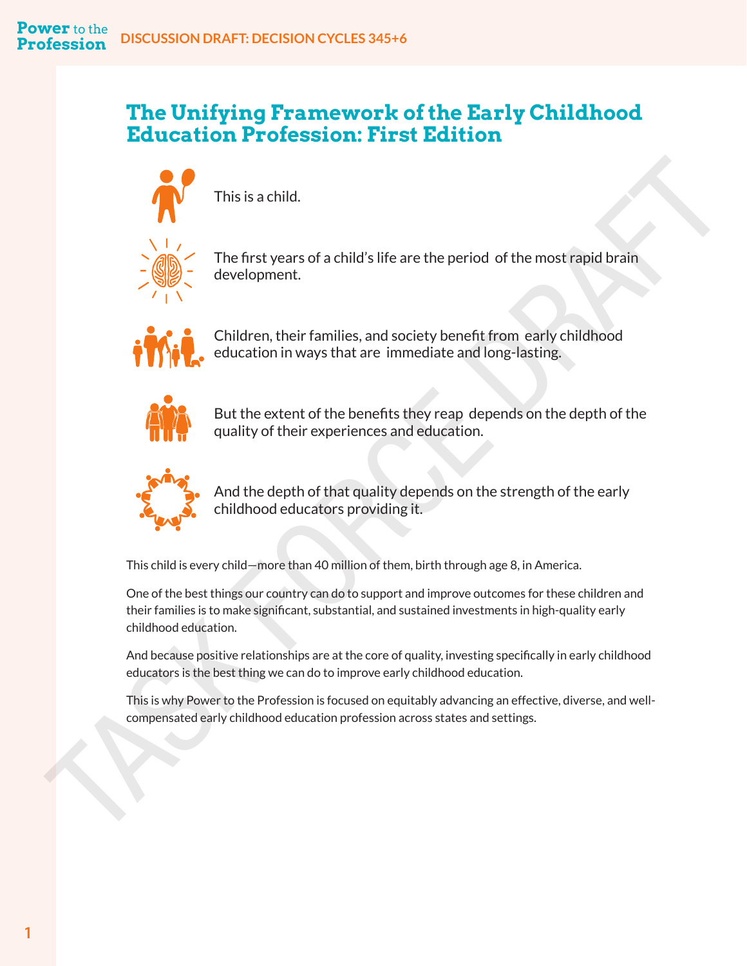# **The Unifying Framework of the Early Childhood Education Profession: First Edition**



This is a child.



The first years of a child's life are the period of the most rapid brain development.



Children, their families, and society benefit from early childhood education in ways that are immediate and long-lasting.



But the extent of the benefits they reap depends on the depth of the quality of their experiences and education.



And the depth of that quality depends on the strength of the early childhood educators providing it.

This child is every child—more than 40 million of them, birth through age 8, in America.

One of the best things our country can do to support and improve outcomes for these children and their families is to make significant, substantial, and sustained investments in high-quality early childhood education. This is a child.<br>
This is a child.<br>
Complement.<br>
Complement.<br>
Complement.<br>
Complement across that are the period of the most rapid brain<br>
Complement.<br>
Contactor in ways that are immediate and long-lasting.<br>
But the extent

And because positive relationships are at the core of quality, investing specifically in early childhood educators is the best thing we can do to improve early childhood education.

This is why Power to the Profession is focused on equitably advancing an effective, diverse, and well-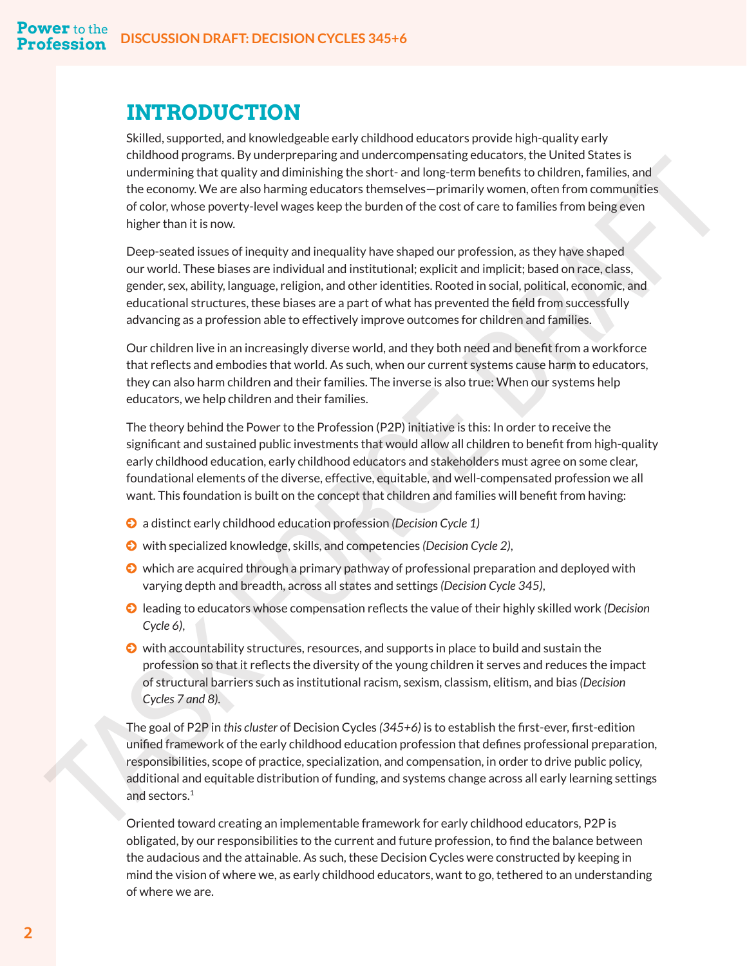# <span id="page-4-0"></span>**INTRODUCTION**

Skilled, supported, and knowledgeable early childhood educators provide high-quality early childhood programs. By underpreparing and undercompensating educators, the United States is undermining that quality and diminishing the short- and long-term benefits to children, families, and the economy. We are also harming educators themselves—primarily women, often from communities of color, whose poverty-level wages keep the burden of the cost of care to families from being even higher than it is now.

Deep-seated issues of inequity and inequality have shaped our profession, as they have shaped our world. These biases are individual and institutional; explicit and implicit; based on race, class, gender, sex, ability, language, religion, and other identities. Rooted in social, political, economic, and educational structures, these biases are a part of what has prevented the field from successfully advancing as a profession able to effectively improve outcomes for children and families.

Our children live in an increasingly diverse world, and they both need and benefit from a workforce that reflects and embodies that world. As such, when our current systems cause harm to educators, they can also harm children and their families. The inverse is also true: When our systems help educators, we help children and their families.

The theory behind the Power to the Profession (P2P) initiative is this: In order to receive the significant and sustained public investments that would allow all children to benefit from high-quality early childhood education, early childhood educators and stakeholders must agree on some clear, foundational elements of the diverse, effective, equitable, and well-compensated profession we all want. This foundation is built on the concept that children and families will benefit from having:

- © a distinct early childhood education profession *(Decision Cycle 1)*
- © with specialized knowledge, skills, and competencies *(Decision Cycle 2)*,
- © which are acquired through a primary pathway of professional preparation and deployed with varying depth and breadth, across all states and settings *(Decision Cycle 345)*,
- © leading to educators whose compensation reflects the value of their highly skilled work *(Decision Cycle 6)*,
- © with accountability structures, resources, and supports in place to build and sustain the profession so that it reflects the diversity of the young children it serves and reduces the impact of structural barriers such as institutional racism, sexism, classism, elitism, and bias *(Decision Cycles 7 and 8)*.

The goal of P2P in *this cluster* of Decision Cycles *(345+6)* is to establish the first-ever, first-edition unified framework of the early childhood education profession that defines professional preparation, responsibilities, scope of practice, specialization, and compensation, in order to drive public policy, additional and equitable distribution of funding, and systems change across all early learning settings and sectors.<sup>1</sup> unuloso unegri ama. Symuarity and material amaterial amaterial amaterial amaterial amaterial amaterial amaterial amaterial amaterial amaterial amaterial amaterial amaterial amaterial amaterial amaterial amaterial amateria

Oriented toward creating an implementable framework for early childhood educators, P2P is obligated, by our responsibilities to the current and future profession, to find the balance between the audacious and the attainable. As such, these Decision Cycles were constructed by keeping in mind the vision of where we, as early childhood educators, want to go, tethered to an understanding of where we are.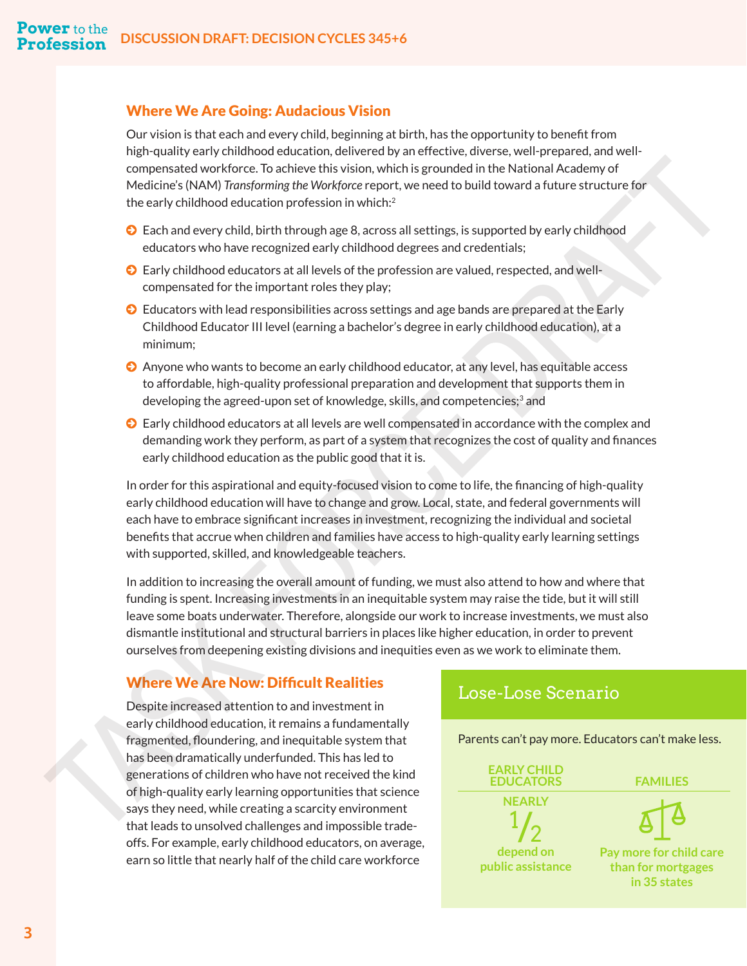#### <span id="page-5-0"></span>Where We Are Going: Audacious Vision

Our vision is that each and every child, beginning at birth, has the opportunity to benefit from high-quality early childhood education, delivered by an effective, diverse, well-prepared, and wellcompensated workforce. To achieve this vision, which is grounded in the National Academy of Medicine's (NAM) *Transforming the Workforce* report, we need to build toward a future structure for the early childhood education profession in which:<sup>2</sup>

- © Each and every child, birth through age 8, across all settings, is supported by early childhood educators who have recognized early childhood degrees and credentials;
- © Early childhood educators at all levels of the profession are valued, respected, and wellcompensated for the important roles they play;
- © Educators with lead responsibilities across settings and age bands are prepared at the Early Childhood Educator III level (earning a bachelor's degree in early childhood education), at a minimum;
- © Anyone who wants to become an early childhood educator, at any level, has equitable access to affordable, high-quality professional preparation and development that supports them in developing the agreed-upon set of knowledge, skills, and competencies;<sup>[3](#page-26-0)</sup> and
- © Early childhood educators at all levels are well compensated in accordance with the complex and demanding work they perform, as part of a system that recognizes the cost of quality and finances early childhood education as the public good that it is.

In order for this aspirational and equity-focused vision to come to life, the financing of high-quality early childhood education will have to change and grow. Local, state, and federal governments will each have to embrace significant increases in investment, recognizing the individual and societal benefits that accrue when children and families have access to high-quality early learning settings with supported, skilled, and knowledgeable teachers.

In addition to increasing the overall amount of funding, we must also attend to how and where that funding is spent. Increasing investments in an inequitable system may raise the tide, but it will still leave some boats underwater. Therefore, alongside our work to increase investments, we must also dismantle institutional and structural barriers in places like higher education, in order to prevent ourselves from deepening existing divisions and inequities even as we work to eliminate them. compensation of the control in the control interaction of the National Academy of<br>
Medicine's JNAM) Transforming the Medicines report, we meet to build toward a future survey child<br>the carly childrood education profession

#### Where We Are Now: Difficult Realities

Despite increased attention to and investment in early childhood education, it remains a fundamentally fragmented, floundering, and inequitable system that has been dramatically underfunded. This has led to generations of children who have not received the kind of high-quality early learning opportunities that science says they need, while creating a scarcity environment that leads to unsolved challenges and impossible tradeoffs. For example, early childhood educators, on average, earn so little that nearly half of the child care workforce

#### Lose-Lose Scenario

Parents can't pay more. Educators can't make less.

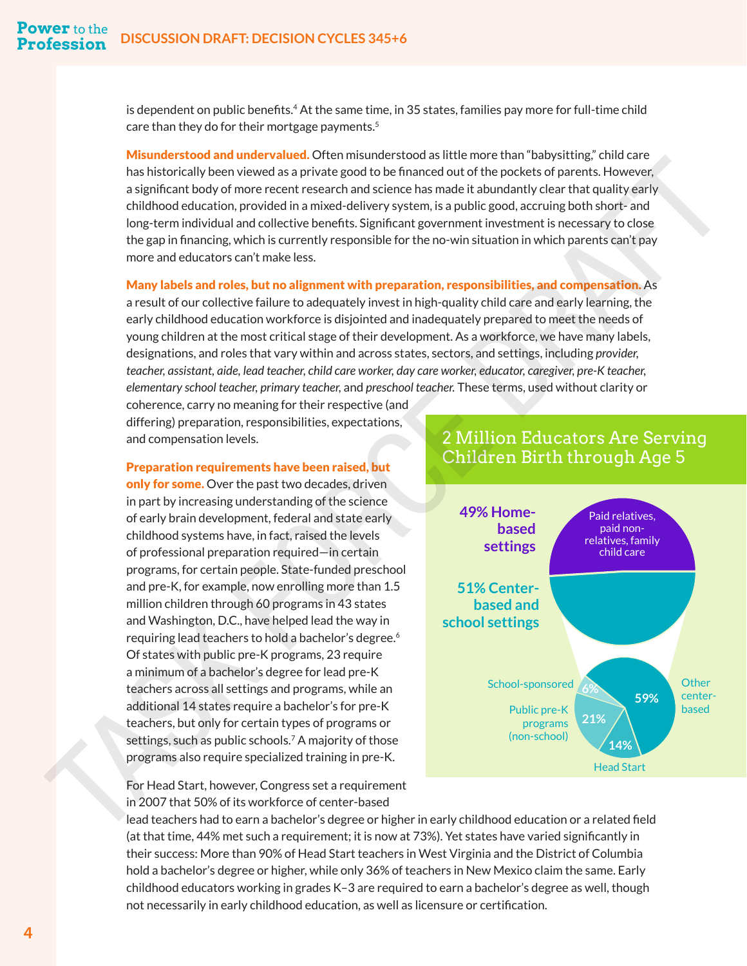is dependent on public benefits.<sup>4</sup> At the same time, in 35 states, families pay more for full-time child care than they do for their mortgage payments.<sup>[5](#page-26-0)</sup>

Misunderstood and undervalued. Often misunderstood as little more than "babysitting," child care has historically been viewed as a private good to be financed out of the pockets of parents. However, a significant body of more recent research and science has made it abundantly clear that quality early childhood education, provided in a mixed-delivery system, is a public good, accruing both short- and long-term individual and collective benefits. Significant government investment is necessary to close the gap in financing, which is currently responsible for the no-win situation in which parents can't pay more and educators can't make less.

Many labels and roles, but no alignment with preparation, responsibilities, and compensation. As

a result of our collective failure to adequately invest in high-quality child care and early learning, the early childhood education workforce is disjointed and inadequately prepared to meet the needs of young children at the most critical stage of their development. As a workforce, we have many labels, designations, and roles that vary within and across states, sectors, and settings, including *provider, teacher, assistant, aide, lead teacher, child care worker, day care worker, educator, caregiver, pre-K teacher, elementary school teacher, primary teacher,* and *preschool teacher.* These terms, used without clarity or

coherence, carry no meaning for their respective (and differing) preparation, responsibilities, expectations, and compensation levels.

#### Preparation requirements have been raised, but

only for some. Over the past two decades, driven in part by increasing understanding of the science of early brain development, federal and state early childhood systems have, in fact, raised the levels of professional preparation required—in certain programs, for certain people. State-funded preschool and pre-K, for example, now enrolling more than 1.5 million children through 60 programs in 43 states and Washington, D.C., have helped lead the way in requiring lead teachers to hold a bachelor's degree.<sup>6</sup> Of states with public pre-K programs, 23 require a minimum of a bachelor's degree for lead pre-K teachers across all settings and programs, while an additional 14 states require a bachelor's for pre-K teachers, but only for certain types of programs or settings, such as public schools.[7](#page-26-0) A majority of those programs also require specialized training in pre-K.

#### 2 Million Educators Are Serving Children Birth through Age 5

<span id="page-6-0"></span>

For Head Start, however, Congress set a requirement in 2007 that 50% of its workforce of center-based

lead teachers had to earn a bachelor's degree or higher in early childhood education or a related field (at that time, 44% met such a requirement; it is now at 73%). Yet states have varied significantly in their success: More than 90% of Head Start teachers in West Virginia and the District of Columbia hold a bachelor's degree or higher, while only 36% of teachers in New Mexico claim the same. Early childhood educators working in grades K–3 are required to earn a bachelor's degree as well, though not necessarily in early childhood education, as well as licensure or certification.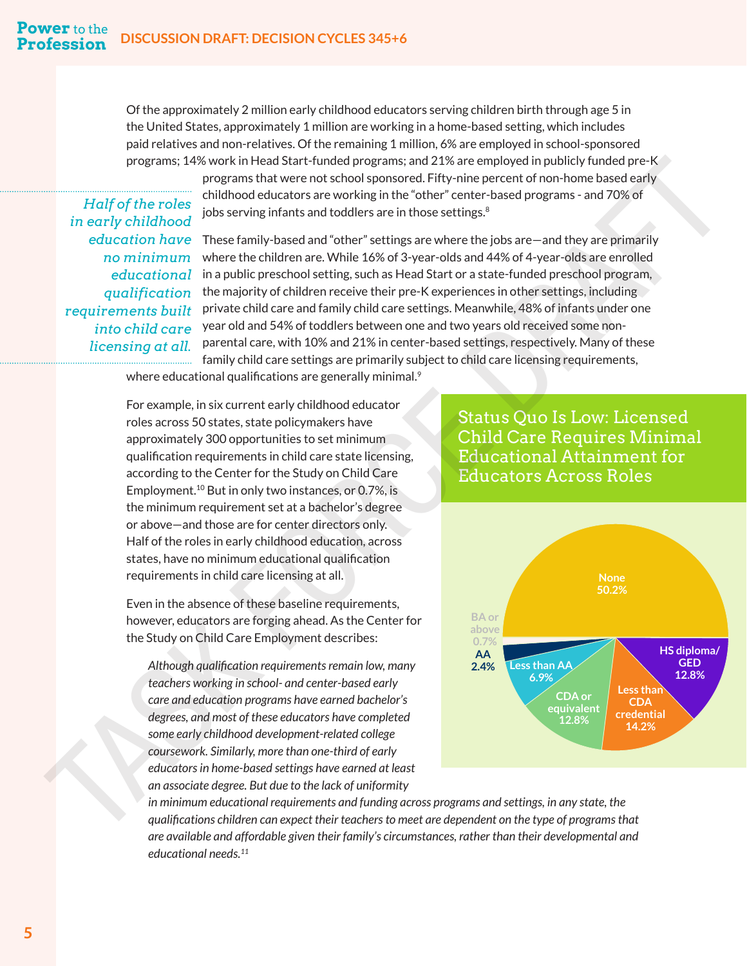Of the approximately 2 million early childhood educators serving children birth through age 5 in the United States, approximately 1 million are working in a home-based setting, which includes paid relatives and non-relatives. Of the remaining 1 million, 6% are employed in school-sponsored programs; 14% work in Head Start-funded programs; and 21% are employed in publicly funded pre-K

*Half of the roles in early childhood no minimum qualification requirements built into child care licensing at all.*

programs that were not school sponsored. Fifty-nine percent of non-home based early childhood educators are working in the "other" center-based programs - and 70% of jobs serving infants and toddlers are in those settings.<sup>8</sup>

education have These family-based and "other" settings are where the jobs are—and they are primarily where the children are. While 16% of 3-year-olds and 44% of 4-year-olds are enrolled in a public preschool setting, such as Head Start or a state-funded preschool program, *educational*  the majority of children receive their pre-K experiences in other settings, including private child care and family child care settings. Meanwhile, 48% of infants under one year old and 54% of toddlers between one and two years old received some nonparental care, with 10% and 21% in center-based settings, respectively. Many of these family child care settings are primarily subject to child care licensing requirements,

where educational qualifications are generally minimal.<sup>9</sup>

For example, in six current early childhood educator roles across 50 states, state policymakers have approximately 300 opportunities to set minimum qualification requirements in child care state licensing, according to the Center for the Study on Child Care Employment.10 But in only two instances, or 0.7%, is the minimum requirement set at a bachelor's degree or above—and those are for center directors only. Half of the roles in early childhood education, across states, have no minimum educational qualification requirements in child care licensing at all.

Even in the absence of these baseline requirements, however, educators are forging ahead. As the Center for the Study on Child Care Employment describes:

*Although qualification requirements remain low, many teachers working in school- and center-based early care and education programs have earned bachelor's degrees, and most of these educators have completed some early childhood development-related college coursework. Similarly, more than one-third of early educators in home-based settings have earned at least an associate degree. But due to the lack of uniformity* 

#### Status Quo Is Low: Licensed Child Care Requires Minimal Educational Attainment for Educators Across Roles

<span id="page-7-0"></span>

*in minimum educational requirements and funding across programs and settings, in any state, the qualifications children can expect their teachers to meet are dependent on the type of programs that are available and affordable given their family's circumstances, rather than their developmental and educational needs[.11](#page-26-0)*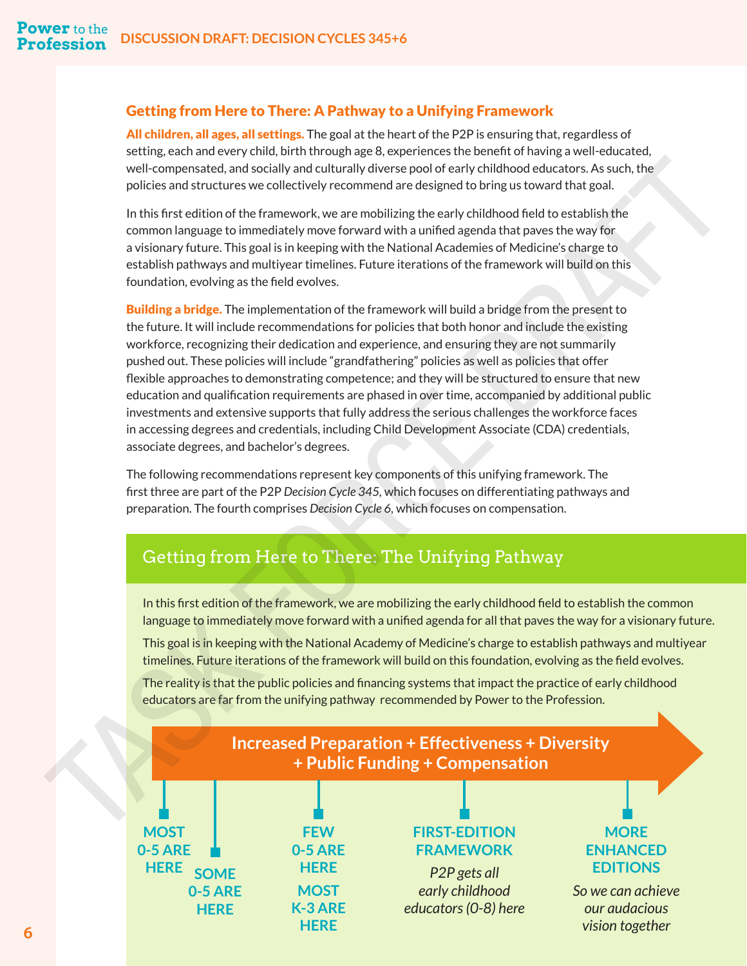#### Getting from Here to There: A Pathway to a Unifying Framework

All children, all ages, all settings. The goal at the heart of the P2P is ensuring that, regardless of setting, each and every child, birth through age 8, experiences the benefit of having a well-educated, well-compensated, and socially and culturally diverse pool of early childhood educators. As such, the policies and structures we collectively recommend are designed to bring us toward that goal.

In this first edition of the framework, we are mobilizing the early childhood field to establish the common language to immediately move forward with a unified agenda that paves the way for a visionary future. This goal is in keeping with the National Academies of Medicine's charge to establish pathways and multiyear timelines. Future iterations of the framework will build on this foundation, evolving as the field evolves.

**Building a bridge.** The implementation of the framework will build a bridge from the present to the future. It will include recommendations for policies that both honor and include the existing workforce, recognizing their dedication and experience, and ensuring they are not summarily pushed out. These policies will include "grandfathering" policies as well as policies that offer flexible approaches to demonstrating competence; and they will be structured to ensure that new education and qualification requirements are phased in over time, accompanied by additional public investments and extensive supports that fully address the serious challenges the workforce faces in accessing degrees and credentials, including Child Development Associate (CDA) credentials, associate degrees, and bachelor's degrees. well compensate, and excellive model with column like discrete pool of early childhood educators. As such the<br>plates can detect the ranework, we are modellizing the early distribution of each state, the<br>plates for the rane

The following recommendations represent key components of this unifying framework. The first three are part of the P2P *Decision Cycle 345,* which focuses on differentiating pathways and preparation. The fourth comprises *Decision Cycle 6,* which focuses on compensation.

# Getting from Here to There: The Unifying Pathway

In this first edition of the framework, we are mobilizing the early childhood field to establish the common language to immediately move forward with a unified agenda for all that paves the way for a visionary future.

This goal is in keeping with the National Academy of Medicine's charge to establish pathways and multiyear timelines. Future iterations of the framework will build on this foundation, evolving as the field evolves.

The reality is that the public policies and financing systems that impact the practice of early childhood educators are far from the unifying pathway recommended by Power to the Profession.

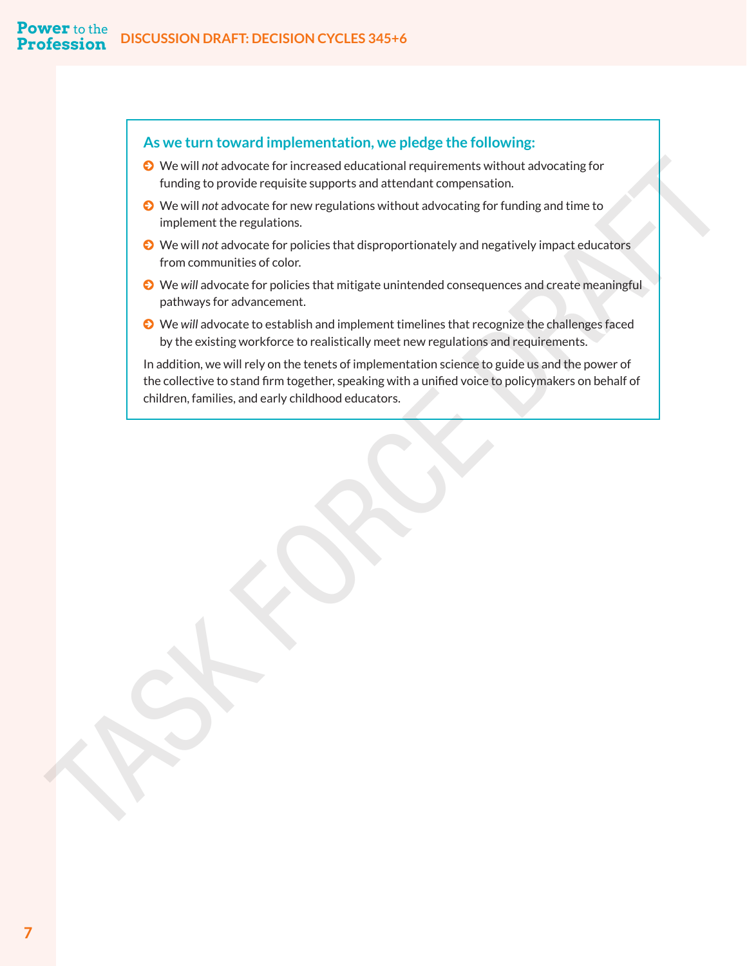#### **As we turn toward implementation, we pledge the following:**

- © We will *not* advocate for increased educational requirements without advocating for funding to provide requisite supports and attendant compensation.
- © We will *not* advocate for new regulations without advocating for funding and time to implement the regulations.
- © We will *not* advocate for policies that disproportionately and negatively impact educators from communities of color.
- © We *will* advocate for policies that mitigate unintended consequences and create meaningful pathways for advancement.
- © We *will* advocate to establish and implement timelines that recognize the challenges faced by the existing workforce to realistically meet new regulations and requirements.

In addition, we will rely on the tenets of implementation science to guide us and the power of the collective to stand firm together, speaking with a unified voice to policymakers on behalf of **Children** advocator for increased educations in equilibrium to the interest of the children to the method and the children that the children is the children to the method in the children interest for problem in the regula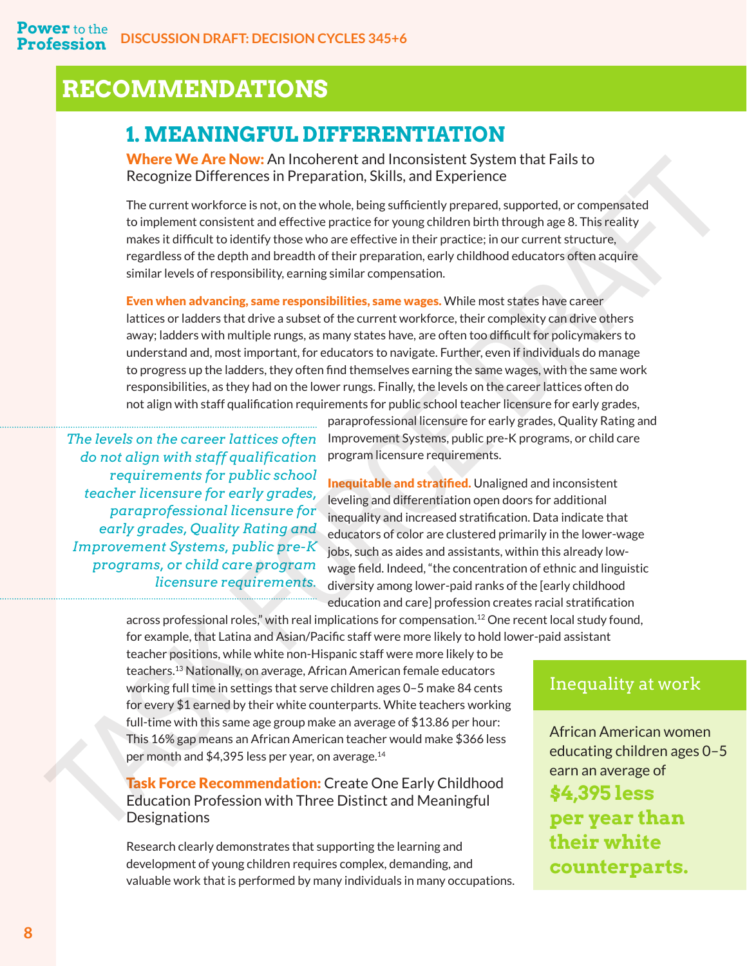# <span id="page-10-0"></span>**RECOMMENDATIONS**

# **1. MEANINGFUL DIFFERENTIATION**

Where We Are Now: An Incoherent and Inconsistent System that Fails to Recognize Differences in Preparation, Skills, and Experience

The current workforce is not, on the whole, being sufficiently prepared, supported, or compensated to implement consistent and effective practice for young children birth through age 8. This reality makes it difficult to identify those who are effective in their practice; in our current structure, regardless of the depth and breadth of their preparation, early childhood educators often acquire similar levels of responsibility, earning similar compensation.

Even when advancing, same responsibilities, same wages. While most states have career lattices or ladders that drive a subset of the current workforce, their complexity can drive others away; ladders with multiple rungs, as many states have, are often too difficult for policymakers to understand and, most important, for educators to navigate. Further, even if individuals do manage to progress up the ladders, they often find themselves earning the same wages, with the same work responsibilities, as they had on the lower rungs. Finally, the levels on the career lattices often do not align with staff qualification requirements for public school teacher licensure for early grades, Where We keen Now An Incolneration and Inconsistent which are the state of the measurement and the measurement and the measurement where the measurement is the measurement where the state of the measurement is the measure

*The levels on the career lattices often do not align with staff qualification requirements for public school teacher licensure for early grades, paraprofessional licensure for early grades, Quality Rating and Improvement Systems, public pre-K programs, or child care program licensure requirements.* 

paraprofessional licensure for early grades, Quality Rating and Improvement Systems, public pre-K programs, or child care program licensure requirements.

Inequitable and stratified. Unaligned and inconsistent leveling and differentiation open doors for additional inequality and increased stratification. Data indicate that educators of color are clustered primarily in the lower-wage jobs, such as aides and assistants, within this already lowwage field. Indeed, "the concentration of ethnic and linguistic diversity among lower-paid ranks of the [early childhood education and care] profession creates racial stratification

across professional roles," with real implications for compensation.12 One recent local study found, for example, that Latina and Asian/Pacific staff were more likely to hold lower-paid assistant

teacher positions, while white non-Hispanic staff were more likely to be teachers.13 Nationally, on average, African American female educators working full time in settings that serve children ages 0–5 make 84 cents for every \$1 earned by their white counterparts. White teachers working full-time with this same age group make an average of \$13.86 per hour: This 16% gap means an African American teacher would make \$366 less per month and \$4,395 less per year, on average[.14](#page-26-0)

**Task Force Recommendation:** Create One Early Childhood Education Profession with Three Distinct and Meaningful Designations

Research clearly demonstrates that supporting the learning and development of young children requires complex, demanding, and valuable work that is performed by many individuals in many occupations.

# Inequality at work

African American women educating children ages 0–5 earn an average of **\$4,395 less per year than their white counterparts.**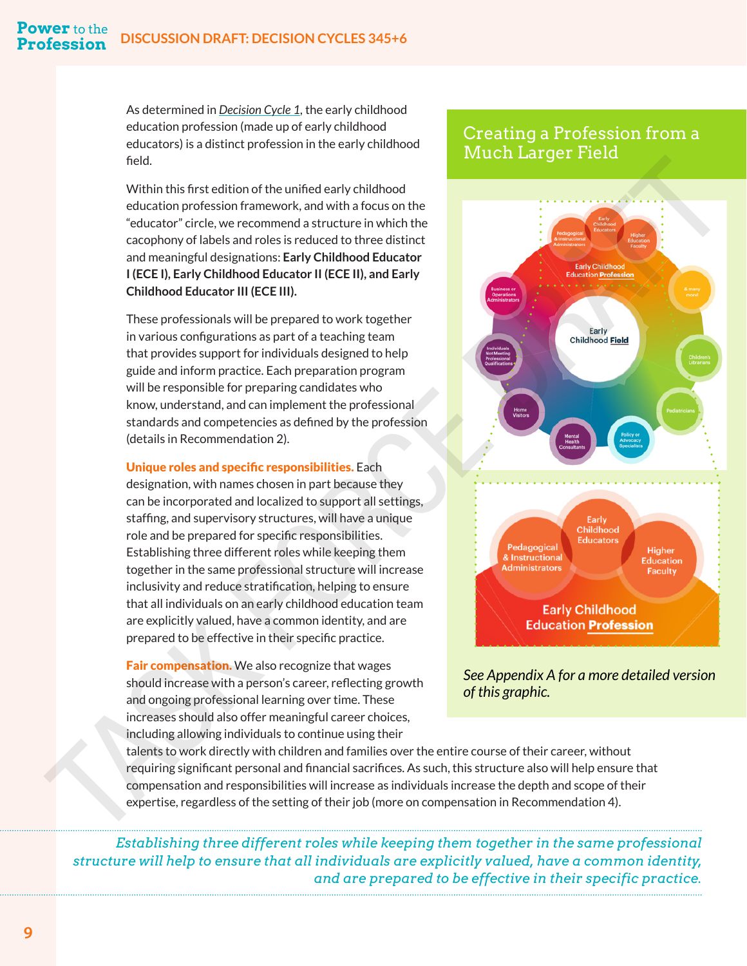As determined in *[Decision Cycle 1](https://www.naeyc.org/sites/default/files/globally-shared/downloads/PDFs/our-work/initiatives/consensus-draft-decision-cycle-1.pdf),* the early childhood education profession (made up of early childhood educators) is a distinct profession in the early childhood field.

Within this first edition of the unified early childhood education profession framework, and with a focus on the "educator" circle, we recommend a structure in which the cacophony of labels and roles is reduced to three distinct and meaningful designations: **Early Childhood Educator I (ECE I), Early Childhood Educator II (ECE II), and Early Childhood Educator III (ECE III).**

These professionals will be prepared to work together in various configurations as part of a teaching team that provides support for individuals designed to help guide and inform practice. Each preparation program will be responsible for preparing candidates who know, understand, and can implement the professional standards and competencies as defined by the profession (details in Recommendation 2).

#### Unique roles and specific responsibilities. Each

designation, with names chosen in part because they can be incorporated and localized to support all settings, staffing, and supervisory structures, will have a unique role and be prepared for specific responsibilities. Establishing three different roles while keeping them together in the same professional structure will increase inclusivity and reduce stratification, helping to ensure that all individuals on an early childhood education team are explicitly valued, have a common identity, and are prepared to be effective in their specific practice.

**Fair compensation.** We also recognize that wages should increase with a person's career, reflecting growth and ongoing professional learning over time. These increases should also offer meaningful career choices, including allowing individuals to continue using their

#### Creating a Profession from a Much Larger Field



*See Appendix A for a more detailed version of this graphic.*

talents to work directly with children and families over the entire course of their career, without requiring significant personal and financial sacrifices. As such, this structure also will help ensure that compensation and responsibilities will increase as individuals increase the depth and scope of their expertise, regardless of the setting of their job (more on compensation in Recommendation 4).

*Establishing three different roles while keeping them together in the same professional structure will help to ensure that all individuals are explicitly valued, have a common identity, and are prepared to be effective in their specific practice.*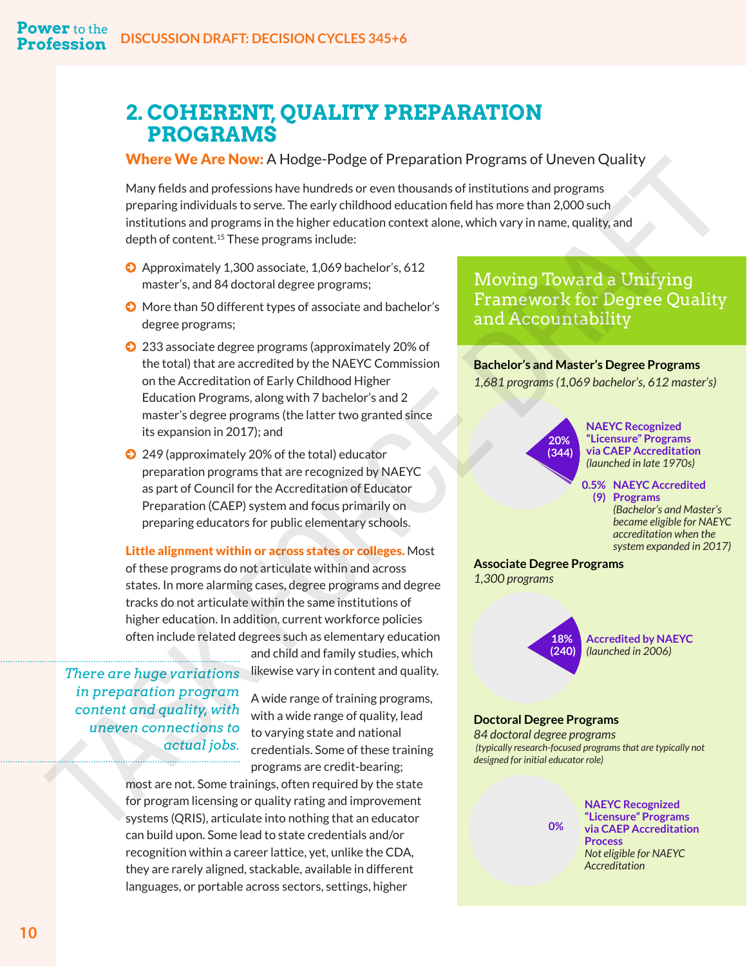# <span id="page-12-0"></span>**2. COHERENT, QUALITY PREPARATION PROGRAMS**

#### **Where We Are Now:** A Hodge-Podge of Preparation Programs of Uneven Quality

Many fields and professions have hundreds or even thousands of institutions and programs preparing individuals to serve. The early childhood education field has more than 2,000 such institutions and programs in the higher education context alone, which vary in name, quality, and depth of content.15 These programs include: **Where We Are Nov** A Hodge of Peparation Forgate different Content Cluster and the set in the set in the set in the set in the set in the set in the set in the set in the set in the set in the set in the set in the set in

- © Approximately 1,300 associate, 1,069 bachelor's, 612 master's, and 84 doctoral degree programs;
- © More than 50 different types of associate and bachelor's degree programs;
- © 233 associate degree programs (approximately 20% of the total) that are accredited by the NAEYC Commission on the Accreditation of Early Childhood Higher Education Programs, along with 7 bachelor's and 2 master's degree programs (the latter two granted since its expansion in 2017); and
- © 249 (approximately 20% of the total) educator preparation programs that are recognized by NAEYC as part of Council for the Accreditation of Educator Preparation (CAEP) system and focus primarily on preparing educators for public elementary schools.

Little alignment within or across states or colleges. Most of these programs do not articulate within and across states. In more alarming cases, degree programs and degree tracks do not articulate within the same institutions of higher education. In addition, current workforce policies often include related degrees such as elementary education

*There are huge variations in preparation program content and quality, with uneven connections to* 

A wide range of training programs, with a wide range of quality, lead to varying state and national credentials. Some of these training programs are credit-bearing;

and child and family studies, which likewise vary in content and quality.

most are not. Some trainings, often required by the state for program licensing or quality rating and improvement systems (QRIS), articulate into nothing that an educator can build upon. Some lead to state credentials and/or recognition within a career lattice, yet, unlike the CDA, they are rarely aligned, stackable, available in different languages, or portable across sectors, settings, higher

Moving Toward a Unifying Framework for Degree Quality and Accountability

#### **Bachelor's and Master's Degree Programs** *1,681 programs (1,069 bachelor's, 612 master's)*

**20% (344)**

**NAEYC Recognized "Licensure" Programs via CAEP Accreditation** *(launched in late 1970s)*

**NAEYC Accredited 0.5% Programs (9)** *(Bachelor's and Master's became eligible for NAEYC accreditation when the system expanded in 2017)*

**Associate Degree Programs**  *1,300 programs*



#### **Doctoral Degree Programs**

**0%**

*84 doctoral degree programs (typically research-focused programs that are typically not designed for initial educator role)*

> **NAEYC Recognized "Licensure" Programs via CAEP Accreditation Process**  *Not eligible for NAEYC Accreditation*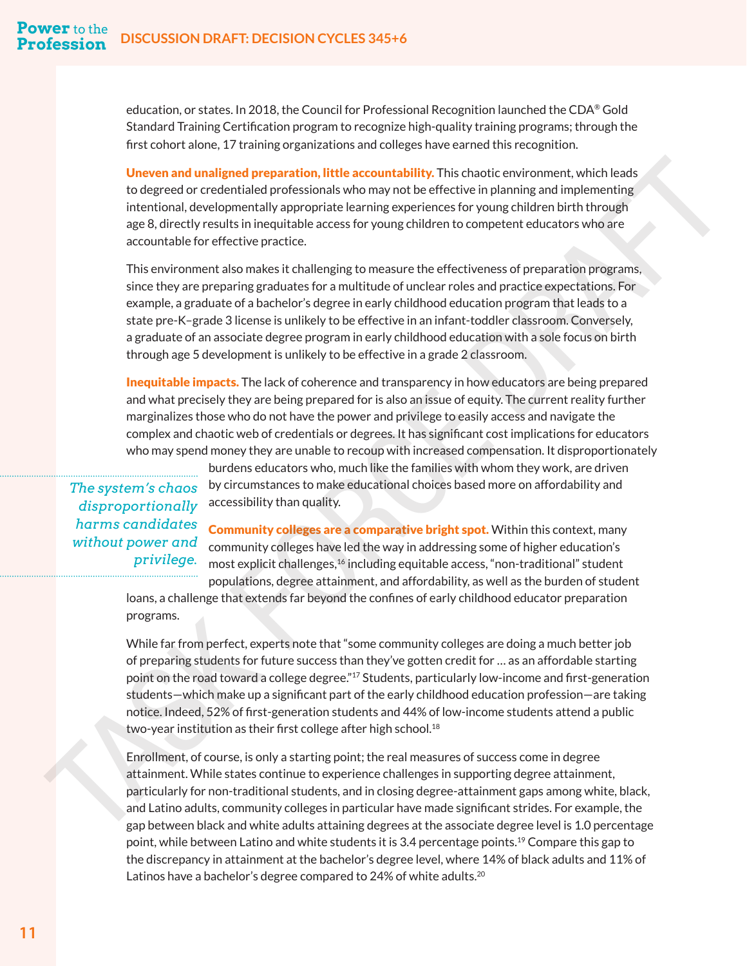education, or states. In 2018, the Council for Professional Recognition launched the CDA® Gold Standard Training Certification program to recognize high-quality training programs; through the first cohort alone, 17 training organizations and colleges have earned this recognition.

Uneven and unaligned preparation, little accountability. This chaotic environment, which leads to degreed or credentialed professionals who may not be effective in planning and implementing intentional, developmentally appropriate learning experiences for young children birth through age 8, directly results in inequitable access for young children to competent educators who are accountable for effective practice.

This environment also makes it challenging to measure the effectiveness of preparation programs, since they are preparing graduates for a multitude of unclear roles and practice expectations. For example, a graduate of a bachelor's degree in early childhood education program that leads to a state pre-K–grade 3 license is unlikely to be effective in an infant-toddler classroom. Conversely, a graduate of an associate degree program in early childhood education with a sole focus on birth through age 5 development is unlikely to be effective in a grade 2 classroom.

**Inequitable impacts.** The lack of coherence and transparency in how educators are being prepared and what precisely they are being prepared for is also an issue of equity. The current reality further marginalizes those who do not have the power and privilege to easily access and navigate the complex and chaotic web of credentials or degrees. It has significant cost implications for educators who may spend money they are unable to recoup with increased compensation. It disproportionately

# *The system's chaos disproportionally harms candidates without power and*

burdens educators who, much like the families with whom they work, are driven by circumstances to make educational choices based more on affordability and accessibility than quality.

Community colleges are a comparative bright spot. Within this context, many community colleges have led the way in addressing some of higher education's most explicit challenges,<sup>16</sup> including equitable access, "non-traditional" student populations, degree attainment, and affordability, as well as the burden of student

loans, a challenge that extends far beyond the confines of early childhood educator preparation programs.

<span id="page-13-0"></span>While far from perfect, experts note that "some community colleges are doing a much better job of preparing students for future success than they've gotten credit for … as an affordable starting point on the road toward a college degree."<sup>17</sup> Students, particularly low-income and first-generation students—which make up a significant part of the early childhood education profession—are taking notice. Indeed, 52% of first-generation students and 44% of low-income students attend a public two-year institution as their first college after high school.<sup>18</sup> Uneven and unaligned preparation, little accountability. This chaotic environment, which leads<br>to detect the controlling of the state of the controlling of the priori in the controlling of the controlling of the controllin

Enrollment, of course, is only a starting point; the real measures of success come in degree attainment. While states continue to experience challenges in supporting degree attainment, particularly for non-traditional students, and in closing degree-attainment gaps among white, black, and Latino adults, community colleges in particular have made significant strides. For example, the gap between black and white adults attaining degrees at the associate degree level is 1.0 percentage point, while between Latino and white students it is 3.4 percentage points[.19](#page-26-0) Compare this gap to the discrepancy in attainment at the bachelor's degree level, where 14% of black adults and 11% of Latinos have a bachelor's degree compared to 24% of white adults.<sup>[20](#page-26-0)</sup>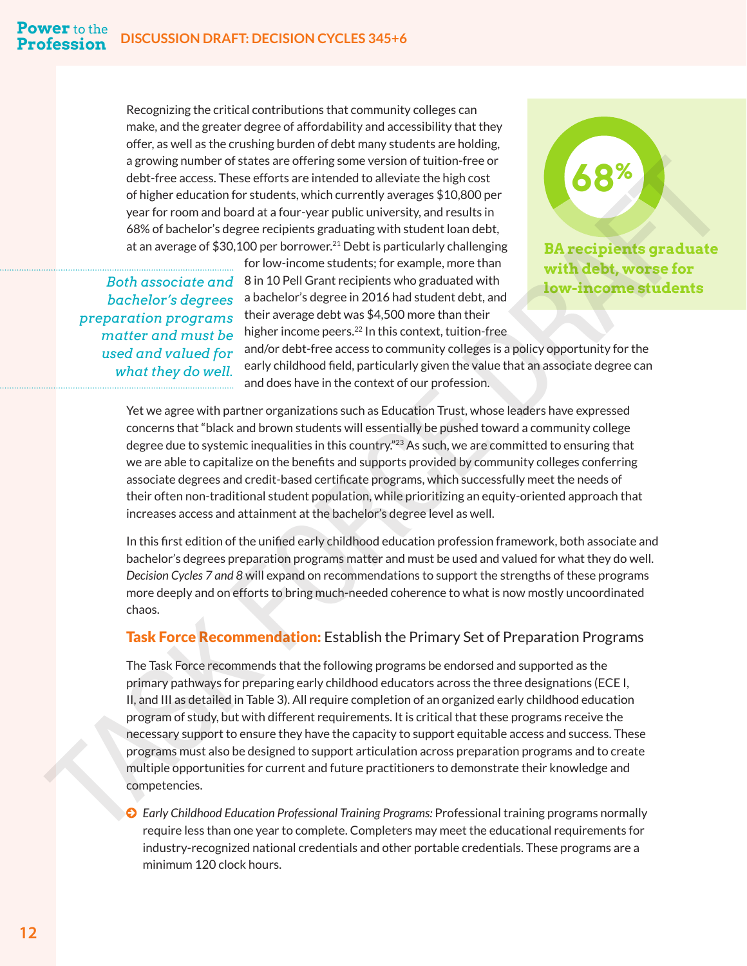Recognizing the critical contributions that community colleges can make, and the greater degree of affordability and accessibility that they offer, as well as the crushing burden of debt many students are holding, a growing number of states are offering some version of tuition-free or debt-free access. These efforts are intended to alleviate the high cost of higher education for students, which currently averages \$10,800 per year for room and board at a four-year public university, and results in 68% of bachelor's degree recipients graduating with student loan debt, at an average of  $$30,100$  per borrower.<sup>[21](#page-26-0)</sup> Debt is particularly challenging

*Both associate and bachelor's degrees preparation programs matter and must be used and valued for what they do well.* 

for low-income students; for example, more than 8 in 10 Pell Grant recipients who graduated with a bachelor's degree in 2016 had student debt, and their average debt was \$4,500 more than their higher income peers.<sup>[22](#page-26-0)</sup> In this context, tuition-free

**BA recipients graduate with debt, worse for low-income students**

**68%**

and/or debt-free access to community colleges is a policy opportunity for the early childhood field, particularly given the value that an associate degree can and does have in the context of our profession.

Yet we agree with partner organizations such as Education Trust, whose leaders have expressed concerns that "black and brown students will essentially be pushed toward a community college degree due to systemic inequalities in this country."<sup>23</sup> As such, we are committed to ensuring that we are able to capitalize on the benefits and supports provided by community colleges conferring associate degrees and credit-based certificate programs, which successfully meet the needs of their often non-traditional student population, while prioritizing an equity-oriented approach that increases access and attainment at the bachelor's degree level as well.

In this first edition of the unified early childhood education profession framework, both associate and bachelor's degrees preparation programs matter and must be used and valued for what they do well. *Decision Cycles 7 and 8* will expand on recommendations to support the strengths of these programs more deeply and on efforts to bring much-needed coherence to what is now mostly uncoordinated chaos.

#### **Task Force Recommendation:** Establish the Primary Set of Preparation Programs

<span id="page-14-0"></span>The Task Force recommends that the following programs be endorsed and supported as the primary pathways for preparing early childhood educators across the three designations (ECE I, II, and III as detailed in Table 3). All require completion of an organized early childhood education program of study, but with different requirements. It is critical that these programs receive the necessary support to ensure they have the capacity to support equitable access and success. These programs must also be designed to support articulation across preparation programs and to create multiple opportunities for current and future practitioners to demonstrate their knowledge and competencies. a proving number of states are of freing some verifies (and the free of the properties) and the present of the states are different and the method of the state of the state of the state of the state of the state of the sta

© *Early Childhood Education Professional Training Programs:* Professional training programs normally require less than one year to complete. Completers may meet the educational requirements for industry-recognized national credentials and other portable credentials. These programs are a minimum 120 clock hours.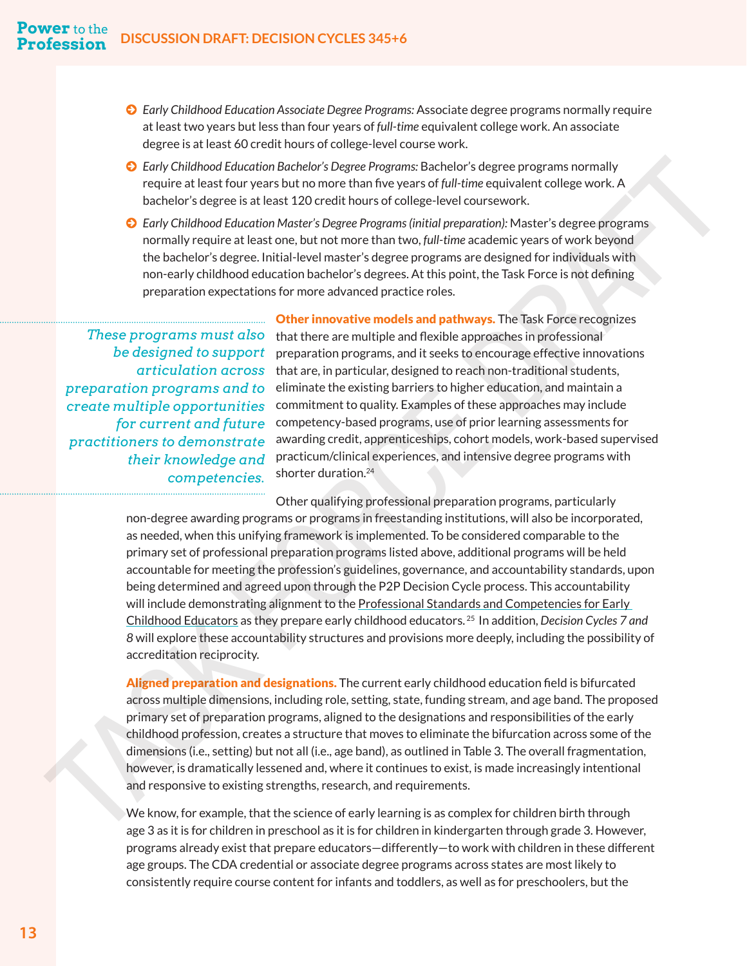- © *Early Childhood Education Associate Degree Programs:* Associate degree programs normally require at least two years but less than four years of *full-time* equivalent college work. An associate degree is at least 60 credit hours of college-level course work.
- © *Early Childhood Education Bachelor's Degree Programs:* Bachelor's degree programs normally require at least four years but no more than five years of *full-time* equivalent college work. A bachelor's degree is at least 120 credit hours of college-level coursework.
- © *Early Childhood Education Master's Degree Programs (initial preparation):* Master's degree programs normally require at least one, but not more than two, *full-time* academic years of work beyond the bachelor's degree. Initial-level master's degree programs are designed for individuals with non-early childhood education bachelor's degrees. At this point, the Task Force is not defining preparation expectations for more advanced practice roles.

*These programs must also preparation programs and to create multiple opportunities for current and future practitioners to demonstrate their knowledge and* 

**Other innovative models and pathways.** The Task Force recognizes that there are multiple and flexible approaches in professional  $b$ e designed to support preparation programs, and it seeks to encourage effective innovations  $articulation \, across \,$  that are, in particular, designed to reach non-traditional students, eliminate the existing barriers to higher education, and maintain a commitment to quality. Examples of these approaches may include competency-based programs, use of prior learning assessments for awarding credit, apprenticeships, cohort models, work-based supervised practicum/clinical experiences, and intensive degree programs with shorter duration.<sup>24</sup>

<span id="page-15-0"></span>Other qualifying professional preparation programs, particularly non-degree awarding programs or programs in freestanding institutions, will also be incorporated, as needed, when this unifying framework is implemented. To be considered comparable to the primary set of professional preparation programs listed above, additional programs will be held accountable for meeting the profession's guidelines, governance, and accountability standards, upon being determined and agreed upon through the P2P Decision Cycle process. This accountability will include demonstrating alignment to the Professional Standards and Competencies for Early Childhood Educators as they prepare early childhood educators. 25 In addition, *Decision Cycles 7 and 8* will explore these accountability structures and provisions more deeply, including the possibility of accreditation reciprocity. **Co** *competencies*. The competencies and the compete and the competencies and the competencies and the competencies. A becheck the competencies and the competencies are a least 120 create that 120 create the competency o

Aligned preparation and designations. The current early childhood education field is bifurcated across multiple dimensions, including role, setting, state, funding stream, and age band. The proposed primary set of preparation programs, aligned to the designations and responsibilities of the early childhood profession, creates a structure that moves to eliminate the bifurcation across some of the dimensions (i.e., setting) but not all (i.e., age band), as outlined in Table 3. The overall fragmentation, however, is dramatically lessened and, where it continues to exist, is made increasingly intentional and responsive to existing strengths, research, and requirements.

We know, for example, that the science of early learning is as complex for children birth through age 3 as it is for children in preschool as it is for children in kindergarten through grade 3. However, programs already exist that prepare educators—differently—to work with children in these different age groups. The CDA credential or associate degree programs across states are most likely to consistently require course content for infants and toddlers, as well as for preschoolers, but the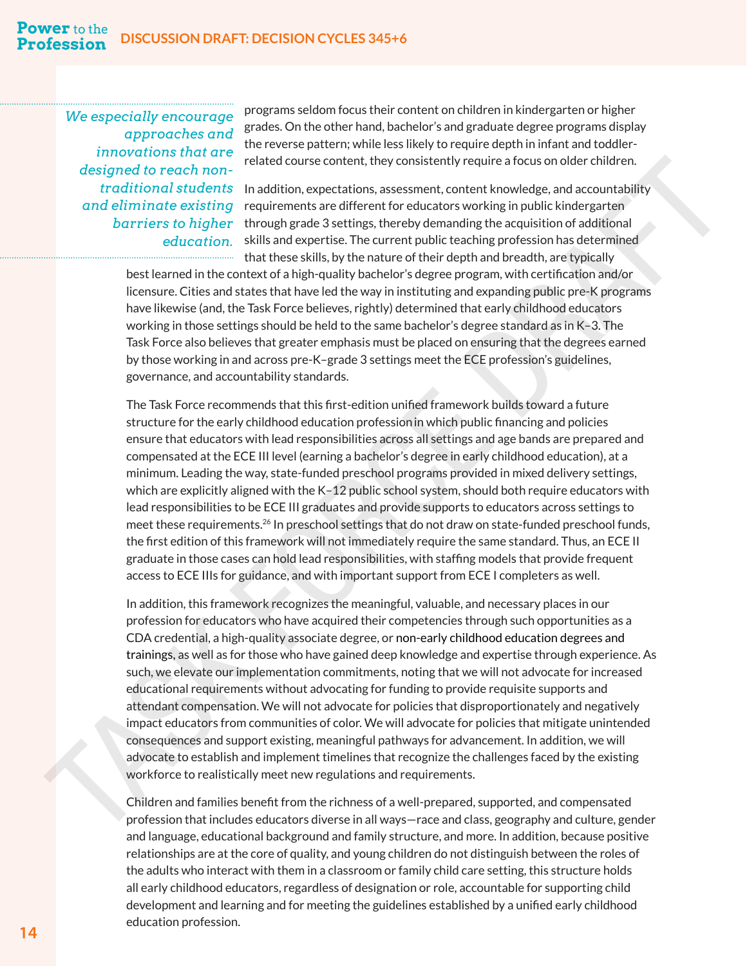<span id="page-16-0"></span>*We especially encourage approaches and innovations that are designed to reach nontraditional students and eliminate existing barriers to higher* 

programs seldom focus their content on children in kindergarten or higher grades. On the other hand, bachelor's and graduate degree programs display the reverse pattern; while less likely to require depth in infant and toddlerrelated course content, they consistently require a focus on older children.

In addition, expectations, assessment, content knowledge, and accountability requirements are different for educators working in public kindergarten through grade 3 settings, thereby demanding the acquisition of additional education. skills and expertise. The current public teaching profession has determined that these skills, by the nature of their depth and breadth, are typically

best learned in the context of a high-quality bachelor's degree program, with certification and/or licensure. Cities and states that have led the way in instituting and expanding public pre-K programs have likewise (and, the Task Force believes, rightly) determined that early childhood educators working in those settings should be held to the same bachelor's degree standard as in K–3. The Task Force also believes that greater emphasis must be placed on ensuring that the degrees earned by those working in and across pre-K–grade 3 settings meet the ECE profession's guidelines, governance, and accountability standards.

The Task Force recommends that this first-edition unified framework builds toward a future structure for the early childhood education professionin which public financing and policies ensure that educators with lead responsibilities across all settings and age bands are prepared and compensated at the ECE III level (earning a bachelor's degree in early childhood education), at a minimum. Leading the way, state-funded preschool programs provided in mixed delivery settings, which are explicitly aligned with the K–12 public school system, should both require educators with lead responsibilities to be ECE III graduates and provide supports to educators across settings to meet these requirements.<sup>26</sup> In preschool settings that do not draw on state-funded preschool funds, the first edition of this framework will not immediately require the same standard. Thus, an ECE II graduate in those cases can hold lead responsibilities, with staffing models that provide frequent access to ECE IIIs for guidance, and with important support from ECE I completers as well.

In addition, this framework recognizes the meaningful, valuable, and necessary places in our profession for educators who have acquired their competencies through such opportunities as a CDA credential, a high-quality associate degree, or non-early childhood education degrees and trainings, as well as for those who have gained deep knowledge and expertise through experience. As such, we elevate our implementation commitments, noting that we will not advocate for increased educational requirements without advocating for funding to provide requisite supports and attendant compensation. We will not advocate for policies that disproportionately and negatively impact educators from communities of color. We will advocate for policies that mitigate unintended consequences and support existing, meaningful pathways for advancement. In addition, we will advocate to establish and implement timelines that recognize the challenges faced by the existing workforce to realistically meet new regulations and requirements. designed to reach homoger. The bitwich correct that provisions the consistent for examined to reach the consistent of the consistent of the consistent of the consistent of the consistent of the consistent of the consistent

Children and families benefit from the richness of a well-prepared, supported, and compensated profession that includes educators diverse in all ways—race and class, geography and culture, gender and language, educational background and family structure, and more. In addition, because positive relationships are at the core of quality, and young children do not distinguish between the roles of the adults who interact with them in a classroom or family child care setting, this structure holds all early childhood educators, regardless of designation or role, accountable for supporting child development and learning and for meeting the guidelines established by a unified early childhood education profession.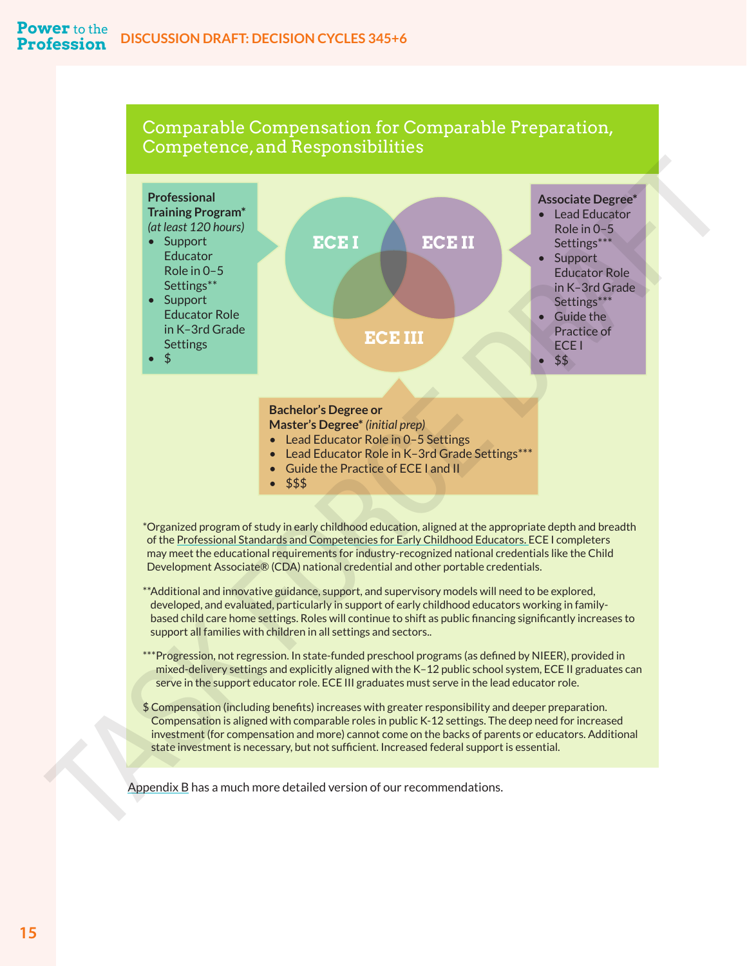#### Comparable Compensation for Comparable Preparation, Competence, and Responsibilities



may meet the educational requirements for industry-recognized national credentials like the Child Development Associate® (CDA) national credential and other portable credentials.

- \*\*Additional and innovative guidance, support, and supervisory models will need to be explored, developed, and evaluated, particularly in support of early childhood educators working in familybased child care home settings. Roles will continue to shift as public financing significantly increases to support all families with children in all settings and sectors..
- \*\*\*Progression, not regression. In state-funded preschool programs (as defined by NIEER), provided in mixed-delivery settings and explicitly aligned with the K–12 public school system, ECE II graduates can serve in the support educator role. ECE III graduates must serve in the lead educator role.
- \$ Compensation (including benefits) increases with greater responsibility and deeper preparation. Compensation is aligned with comparable roles in public K-12 settings. The deep need for increased investment (for compensation and more) cannot come on the backs of parents or educators. Additional state investment is necessary, but not sufficient. Increased federal support is essential.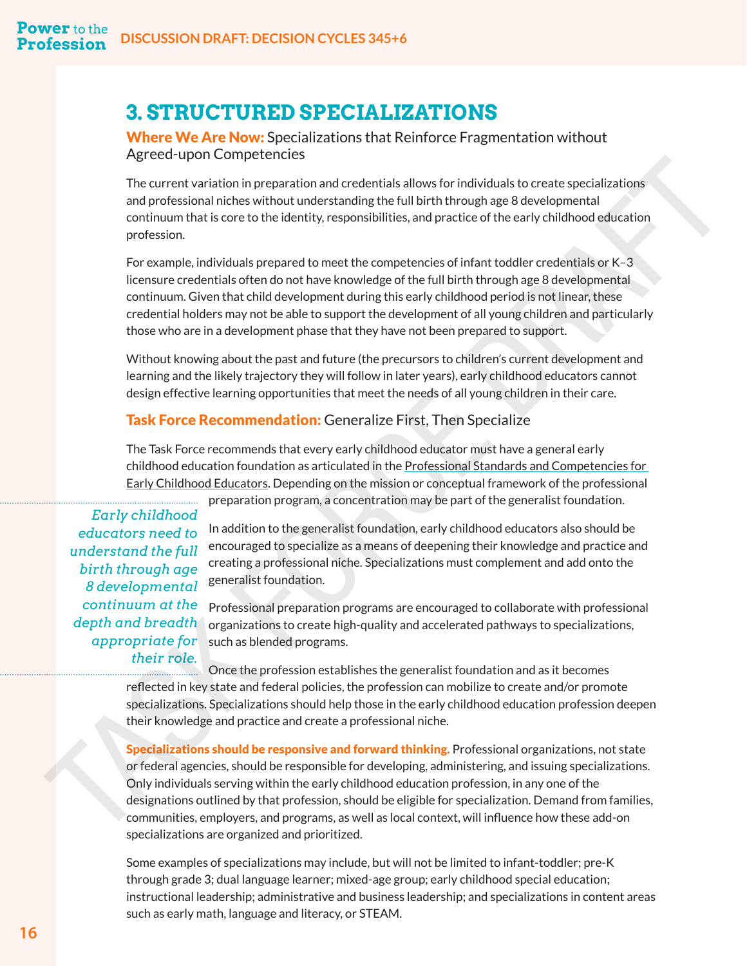# **3. STRUCTURED SPECIALIZATIONS**

Where We Are Now: Specializations that Reinforce Fragmentation without Agreed-upon Competencies

The current variation in preparation and credentials allows for individuals to create specializations and professional niches without understanding the full birth through age 8 developmental continuum that is core to the identity, responsibilities, and practice of the early childhood education profession.

For example, individuals prepared to meet the competencies of infant toddler credentials or K–3 licensure credentials often do not have knowledge of the full birth through age 8 developmental continuum. Given that child development during this early childhood period is not linear, these credential holders may not be able to support the development of all young children and particularly those who are in a development phase that they have not been prepared to support.

Without knowing about the past and future (the precursors to children's current development and learning and the likely trajectory they will follow in later years), early childhood educators cannot design effective learning opportunities that meet the needs of all young children in their care.

#### Task Force Recommendation: Generalize First, Then Specialize

The Task Force recommends that every early childhood educator must have a general early childhood education foundation as articulated in the Professional Standards and Competencies for Early Childhood Educators. Depending on the mission or conceptual framework of the professional

*Early childhood educators need to understand the full birth through age 8 developmental continuum at the depth and breadth appropriate for* 

preparation program, a concentration may be part of the generalist foundation.

In addition to the generalist foundation, early childhood educators also should be encouraged to specialize as a means of deepening their knowledge and practice and creating a professional niche. Specializations must complement and add onto the generalist foundation.

Professional preparation programs are encouraged to collaborate with professional organizations to create high-quality and accelerated pathways to specializations, such as blended programs.

Once the profession establishes the generalist foundation and as it becomes reflected in key state and federal policies, the profession can mobilize to create and/or promote specializations. Specializations should help those in the early childhood education profession deepen their knowledge and practice and create a professional niche.

Specializations should be responsive and forward thinking. Professional organizations, not state or federal agencies, should be responsible for developing, administering, and issuing specializations. Only individuals serving within the early childhood education profession, in any one of the designations outlined by that profession, should be eligible for specialization. Demand from families, communities, employers, and programs, as well as local context, will influence how these add-on specializations are organized and prioritized. *Fig* tect via their statistical properties and credentials allows for individuals to create specializations<br>and professional inches without understanding the bill lifth throllbane as disconformation<br>continuum that is core

> Some examples of specializations may include, but will not be limited to infant-toddler; pre-K through grade 3; dual language learner; mixed-age group; early childhood special education; instructional leadership; administrative and business leadership; and specializations in content areas such as early math, language and literacy, or STEAM.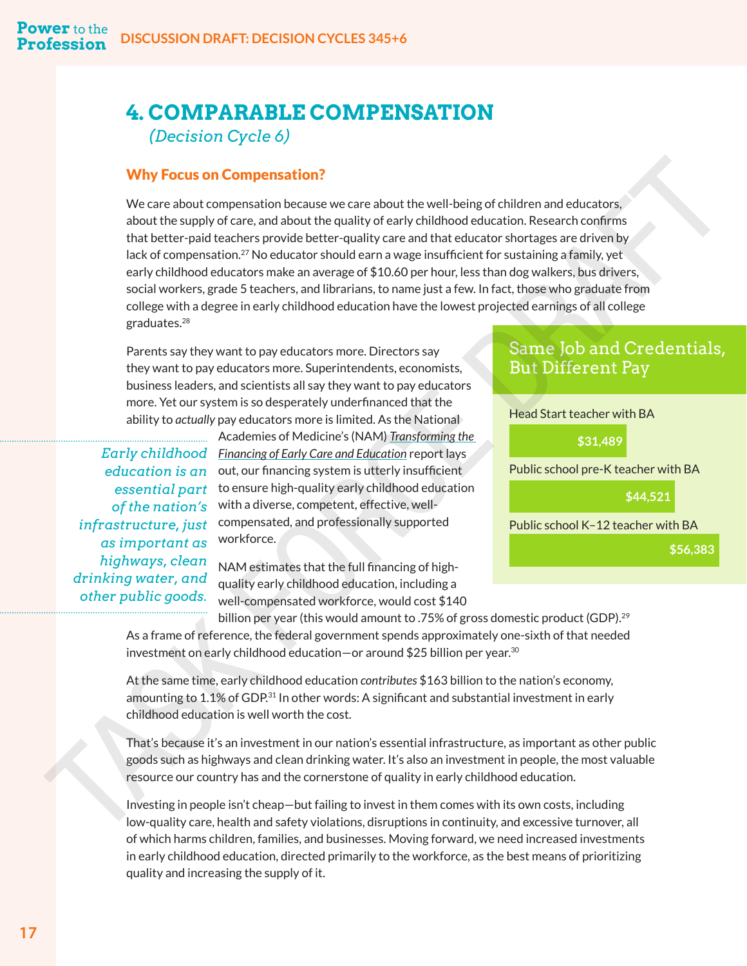# <span id="page-19-0"></span>**4. COMPARABLE COMPENSATION**  *(Decision Cycle 6)*

#### Why Focus on Compensation?

We care about compensation because we care about the well-being of children and educators, about the supply of care, and about the quality of early childhood education. Research confirms that better-paid teachers provide better-quality care and that educator shortages are driven by lack of compensation.<sup>27</sup> No educator should earn a wage insufficient for sustaining a family, yet early childhood educators make an average of \$10.60 per hour, less than dog walkers, bus drivers, social workers, grade 5 teachers, and librarians, to name just a few. In fact, those who graduate from college with a degree in early childhood education have the lowest projected earnings of all college graduates.<sup>28</sup> **State are an internal in the mail of the state and internal in the state and internal in the state of the state and internal in the state of the state of the state of the state of the state of the state of the state of th** 

Parents say they want to pay educators more. Directors say they want to pay educators more. Superintendents, economists, business leaders, and scientists all say they want to pay educators more. Yet our system is so desperately underfinanced that the ability to *actually* pay educators more is limited. As the National

*infrastructure, just as important as highways, clean drinking water, and other public goods.*

Academies of Medicine's (NAM) *Transforming the*  **Early childhood** Financing of Early Care and Education report lays education is an out, our financing system is utterly insufficient essential part to ensure high-quality early childhood education of the nation's with a diverse, competent, effective, wellcompensated, and professionally supported workforce.

> NAM estimates that the full financing of highquality early childhood education, including a well-compensated workforce, would cost \$140

# Same Job and Credentials, But Different Pay

| Head Start teacher with BA          |          |          |
|-------------------------------------|----------|----------|
| \$31,489                            |          |          |
| Public school pre-K teacher with BA |          |          |
|                                     | \$44,521 |          |
| Public school K-12 teacher with BA  |          |          |
|                                     |          | \$56.383 |
|                                     |          |          |

billion per year (this would amount to .75% of gross domestic product (GDP).<sup>[29](#page-27-0)</sup> As a frame of reference, the federal government spends approximately one-sixth of that needed investment on early childhood education—or around \$25 billion per year. $30$ 

At the same time, early childhood education *contributes* \$163 billion to the nation's economy, amounting to 1.1% of GDP.<sup>31</sup> In other words: A significant and substantial investment in early childhood education is well worth the cost.

That's because it's an investment in our nation's essential infrastructure, as important as other public goods such as highways and clean drinking water. It's also an investment in people, the most valuable resource our country has and the cornerstone of quality in early childhood education.

Investing in people isn't cheap—but failing to invest in them comes with its own costs, including low-quality care, health and safety violations, disruptions in continuity, and excessive turnover, all of which harms children, families, and businesses. Moving forward, we need increased investments in early childhood education, directed primarily to the workforce, as the best means of prioritizing quality and increasing the supply of it.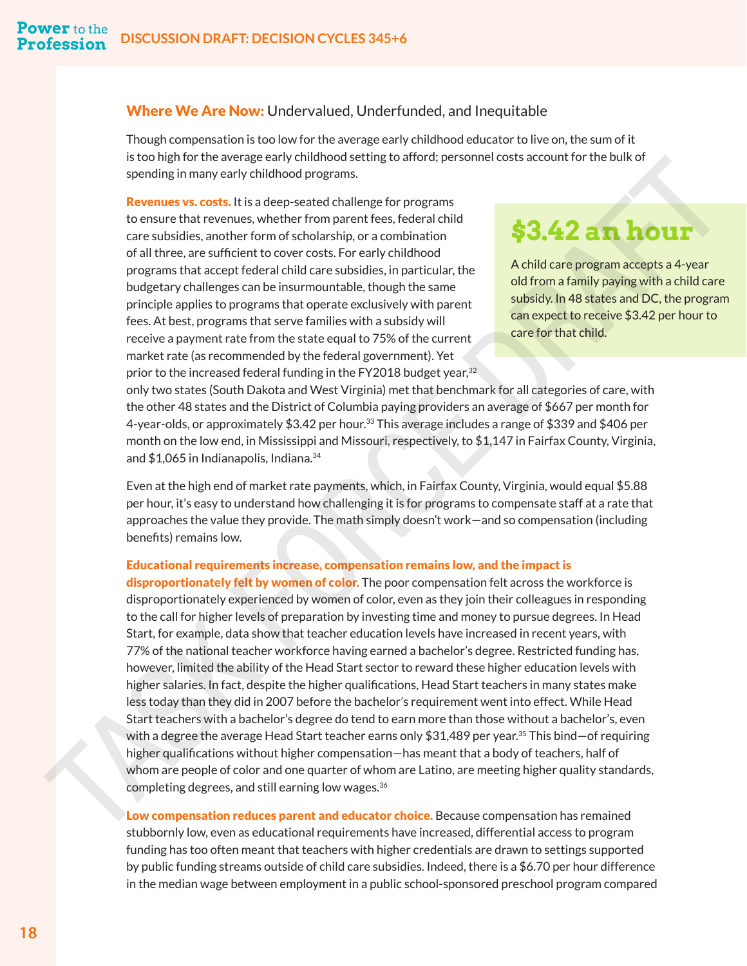#### <span id="page-20-0"></span>Where We Are Now: Undervalued, Underfunded, and Inequitable

Though compensation is too low for the average early childhood educator to live on, the sum of it is too high for the average early childhood setting to afford; personnel costs account for the bulk of spending in many early childhood programs.

**Revenues vs. costs.** It is a deep-seated challenge for programs to ensure that revenues, whether from parent fees, federal child care subsidies, another form of scholarship, or a combination of all three, are sufficient to cover costs. For early childhood programs that accept federal child care subsidies, in particular, the budgetary challenges can be insurmountable, though the same principle applies to programs that operate exclusively with parent fees. At best, programs that serve families with a subsidy will receive a payment rate from the state equal to 75% of the current market rate (as recommended by the federal government). Yet prior to the increased federal funding in the FY2018 budget year, $^{32}$  ,

# **\$3.42 an hour**

A child care program accepts a 4-year old from a family paying with a child care subsidy. In 48 states and DC, the program can expect to receive \$3.42 per hour to

only two states (South Dakota and West Virginia) met that benchmark for all categories of care, with the other 48 states and the District of Columbia paying providers an average of \$667 per month for 4-year-olds, or approximately \$3.42 per hour.33 This average includes a range of \$339 and \$406 per month on the low end, in Mississippi and Missouri, respectively, to \$1,147 in Fairfax County, Virginia, and \$1,065 in Indianapolis, Indiana[.34](#page-27-0)

Even at the high end of market rate payments, which, in Fairfax County, Virginia, would equal \$5.88 per hour, it's easy to understand how challenging it is for programs to compensate staff at a rate that approaches the value they provide. The math simply doesn't work—and so compensation (including benefits) remains low.

#### Educational requirements increase, compensation remains low, and the impact is

disproportionately felt by women of color. The poor compensation felt across the workforce is disproportionately experienced by women of color, even as they join their colleagues in responding to the call for higher levels of preparation by investing time and money to pursue degrees. In Head Start, for example, data show that teacher education levels have increased in recent years, with 77% of the national teacher workforce having earned a bachelor's degree. Restricted funding has, however, limited the ability of the Head Start sector to reward these higher education levels with higher salaries. In fact, despite the higher qualifications, Head Start teachers in many states make less today than they did in 2007 before the bachelor's requirement went into effect. While Head Start teachers with a bachelor's degree do tend to earn more than those without a bachelor's, even with a degree the average Head Start teacher earns only  $$31,489$  per year. $^{35}$  This bind $-$ of requiring higher qualifications without higher compensation—has meant that a body of teachers, half of whom are people of color and one quarter of whom are Latino, are meeting higher quality standards, completing degrees, and still earning low wages.  $36$ is too negro that the best experiment of the state of the childrens of the state of the childrens of the childrens of the childrens of the childrens of the childrens of the state state is a determinent with the state of th

Low compensation reduces parent and educator choice. Because compensation has remained stubbornly low, even as educational requirements have increased, differential access to program funding has too often meant that teachers with higher credentials are drawn to settings supported by public funding streams outside of child care subsidies. Indeed, there is a \$6.70 per hour difference in the median wage between employment in a public school-sponsored preschool program compared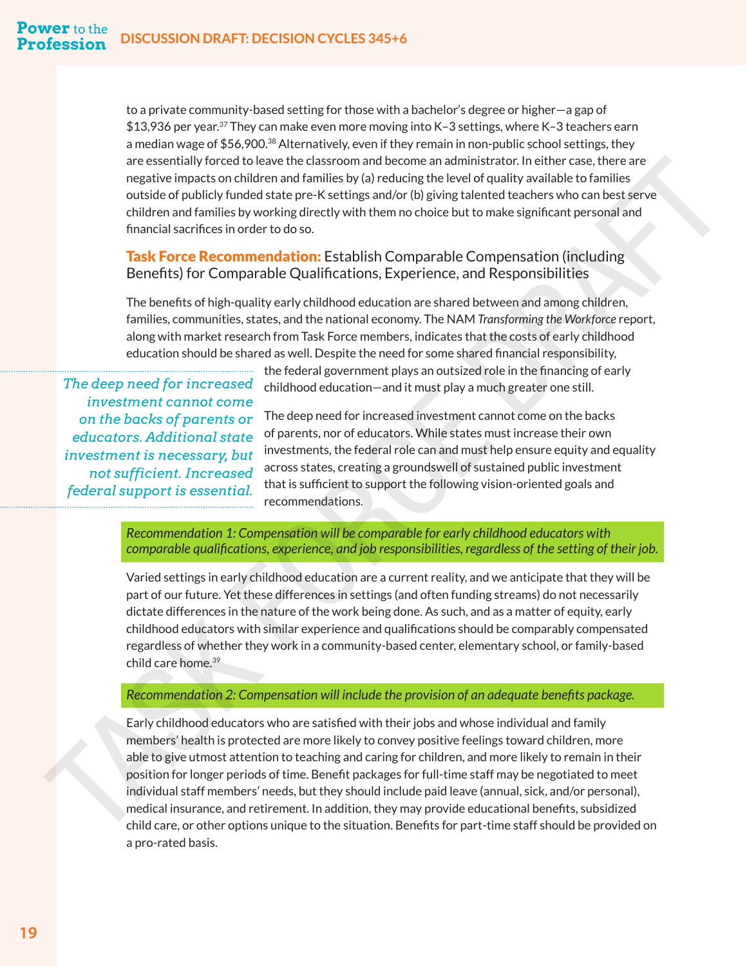to a private community-based setting for those with a bachelor's degree or higher—a gap of  $$13,936$  per year.<sup>37</sup> They can make even more moving into K–3 settings, where K–3 teachers earn a median wage of  $$56,900.^{38}$  $$56,900.^{38}$  $$56,900.^{38}$  Alternatively, even if they remain in non-public school settings, they are essentially forced to leave the classroom and become an administrator. In either case, there are negative impacts on children and families by (a) reducing the level of quality available to families outside of publicly funded state pre-K settings and/or (b) giving talented teachers who can best serve children and families by working directly with them no choice but to make significant personal and financial sacrifices in order to do so.

#### **Task Force Recommendation:** Establish Comparable Compensation (including Benefits) for Comparable Qualifications, Experience, and Responsibilities

The benefits of high-quality early childhood education are shared between and among children, families, communities, states, and the national economy. The NAM *Transforming the Workforce* report, along with market research from Task Force members, indicates that the costs of early childhood education should be shared as well. Despite the need for some shared financial responsibility,

*The deep need for increased investment cannot come on the backs of parents or educators. Additional state investment is necessary, but not sufficient. Increased*  the federal government plays an outsized role in the financing of early childhood education—and it must play a much greater one still.

The deep need for increased investment cannot come on the backs of parents, nor of educators. While states must increase their own investments, the federal role can and must help ensure equity and equality across states, creating a groundswell of sustained public investment that is sufficient to support the following vision-oriented goals and recommendations.

*Recommendation 1: Compensation will be comparable for early childhood educators with comparable qualifications, experience, and job responsibilities, regardless of the setting of their job.*

Varied settings in early childhood education are a current reality, and we anticipate that they will be part of our future. Yet these differences in settings (and often funding streams) do not necessarily dictate differences in the nature of the work being done. As such, and as a matter of equity, early childhood educators with similar experience and qualifications should be comparably compensated regardless of whether they work in a community-based center, elementary school, or family-based child care home.39

#### *Recommendation 2: Compensation will include the provision of an adequate benefits package.*

<span id="page-21-0"></span>Early childhood educators who are satisfied with their jobs and whose individual and family members' health is protected are more likely to convey positive feelings toward children, more able to give utmost attention to teaching and caring for children, and more likely to remain in their position for longer periods of time. Benefit packages for full-time staff may be negotiated to meet individual staff members' needs, but they should include paid leave (annual, sick, and/or personal), medical insurance, and retirement. In addition, they may provide educational benefits, subsidized child care, or other options unique to the situation. Benefits for part-time staff should be provided on a pro-rated basis. are sesentially forced to leave the classroom and become an administration in elither case, there are considered and the main term is esteptible to the considered and the main term is esteptible to the considered and the m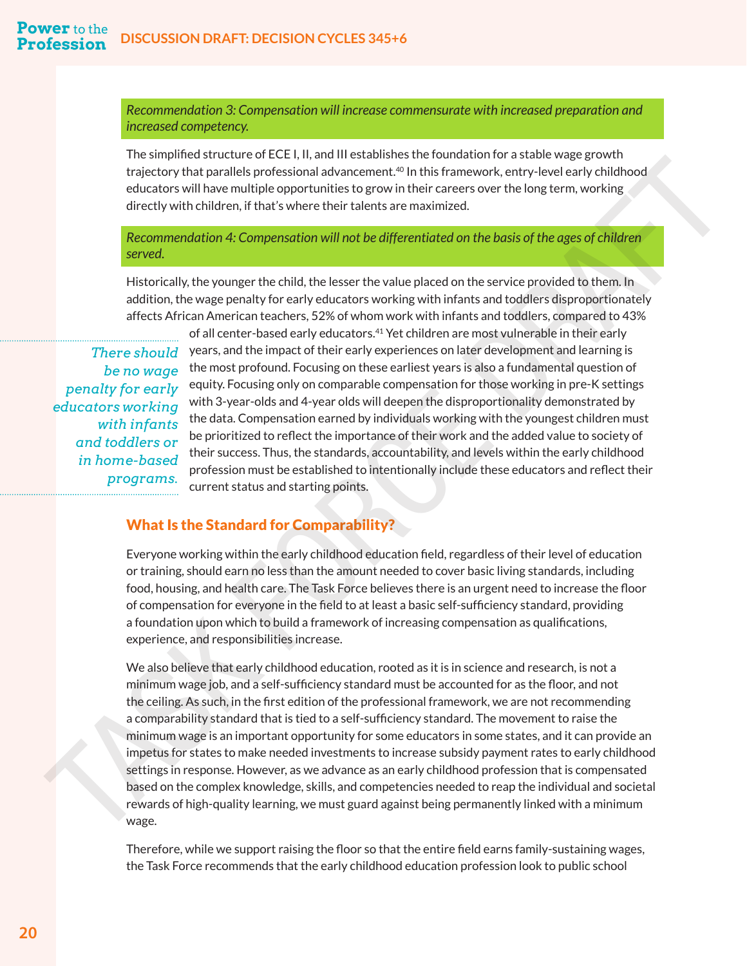*Recommendation 3: Compensation will increase commensurate with increased preparation and increased competency.* 

The simplified structure of ECE I, II, and III establishes the foundation for a stable wage growth trajectory that parallels professional advancement.<sup>40</sup> In this framework, entry-level early childhood educators will have multiple opportunities to grow in their careers over the long term, working directly with children, if that's where their talents are maximized.

*Recommendation 4: Compensation will not be differentiated on the basis of the ages of children served.*

Historically, the younger the child, the lesser the value placed on the service provided to them. In addition, the wage penalty for early educators working with infants and toddlers disproportionately affects African American teachers, 52% of whom work with infants and toddlers, compared to 43%

*There should be no wage penalty for early educators working with infants and toddlers or in home-based* 

of all center-based early educators.[41](#page-27-0) Yet children are most vulnerable in their early years, and the impact of their early experiences on later development and learning is the most profound. Focusing on these earliest years is also a fundamental question of equity. Focusing only on comparable compensation for those working in pre-K settings with 3-year-olds and 4-year olds will deepen the disproportionality demonstrated by the data. Compensation earned by individuals working with the youngest children must be prioritized to reflect the importance of their work and the added value to society of their success. Thus, the standards, accountability, and levels within the early childhood profession must be established to intentionally include these educators and reflect their current status and starting points.

#### What Is the Standard for Comparability?

Everyone working within the early childhood education field, regardless of their level of education or training, should earn no less than the amount needed to cover basic living standards, including food, housing, and health care. The Task Force believes there is an urgent need to increase the floor of compensation for everyone in the field to at least a basic self-sufficiency standard, providing a foundation upon which to build a framework of increasing compensation as qualifications, experience, and responsibilities increase.

<span id="page-22-0"></span>We also believe that early childhood education, rooted as it is in science and research, is not a minimum wage job, and a self-sufficiency standard must be accounted for as the floor, and not the ceiling. As such, in the first edition of the professional framework, we are not recommending a comparability standard that is tied to a self-sufficiency standard. The movement to raise the minimum wage is an important opportunity for some educators in some states, and it can provide an impetus for states to make needed investments to increase subsidy payment rates to early childhood settings in response. However, as we advance as an early childhood profession that is compensated based on the complex knowledge, skills, and competencies needed to reap the individual and societal rewards of high-quality learning, we must guard against being permanently linked with a minimum wage. **programs to month to the starting of the month of the starting of the starting of the starting of the starting of the starting of the starting of the starting of the starting of the starting of the starting of the startin** 

> Therefore, while we support raising the floor so that the entire field earns family-sustaining wages, the Task Force recommends that the early childhood education profession look to public school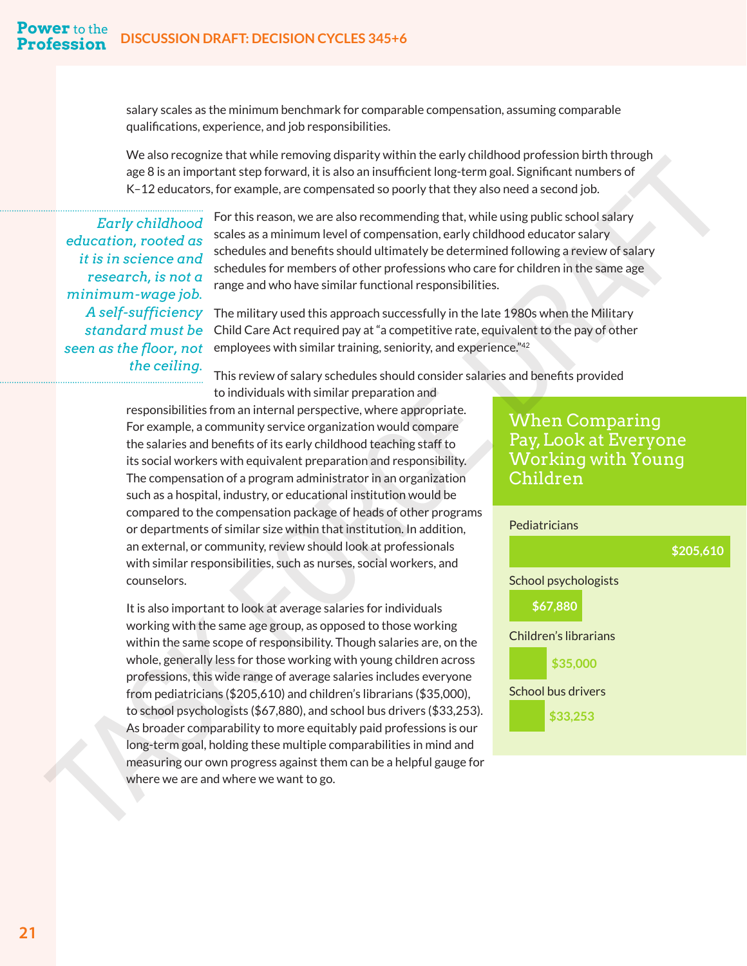salary scales as the minimum benchmark for comparable compensation, assuming comparable qualifications, experience, and job responsibilities.

We also recognize that while removing disparity within the early childhood profession birth through age 8 is an important step forward, it is also an insufficient long-term goal. Significant numbers of K–12 educators, for example, are compensated so poorly that they also need a second job.

*Early childhood education, rooted as it is in science and research, is not a minimum-wage job. the ceiling.*

For this reason, we are also recommending that, while using public school salary scales as a minimum level of compensation, early childhood educator salary schedules and benefits should ultimately be determined following a review of salary schedules for members of other professions who care for children in the same age range and who have similar functional responsibilities.

 $A$  self-sufficiency The military used this approach successfully in the late 1980s when the Military  $standard \ must\ be$  Child Care Act required pay at "a competitive rate, equivalent to the pay of other  $seen\ as\ the\ floor,\ not\ \ \$  employees with similar training, seniority, and experience."<sup>[42](#page-27-0)</sup>

This review of salary schedules should consider salaries and benefits provided

<span id="page-23-0"></span>to individuals with similar preparation and responsibilities from an internal perspective, where appropriate. For example, a community service organization would compare the salaries and benefits of its early childhood teaching staff to its social workers with equivalent preparation and responsibility. The compensation of a program administrator in an organization such as a hospital, industry, or educational institution would be compared to the compensation package of heads of other programs or departments of similar size within that institution. In addition, an external, or community, review should look at professionals with similar responsibilities, such as nurses, social workers, and counselors. we also the formulation of the matter interest of the state in the transition of the state of the state in the state of the state of the state of the state of the state of the state of the state of the state of the state o

It is also important to look at average salaries for individuals working with the same age group, as opposed to those working within the same scope of responsibility. Though salaries are, on the whole, generally less for those working with young children across professions, this wide range of average salaries includes everyone from pediatricians (\$205,610) and children's librarians (\$35,000), to school psychologists (\$67,880), and school bus drivers (\$33,253). As broader comparability to more equitably paid professions is our long-term goal, holding these multiple comparabilities in mind and measuring our own progress against them can be a helpful gauge for where we are and where we want to go.

# When Comparing Pay, Look at Everyone Working with Young Children

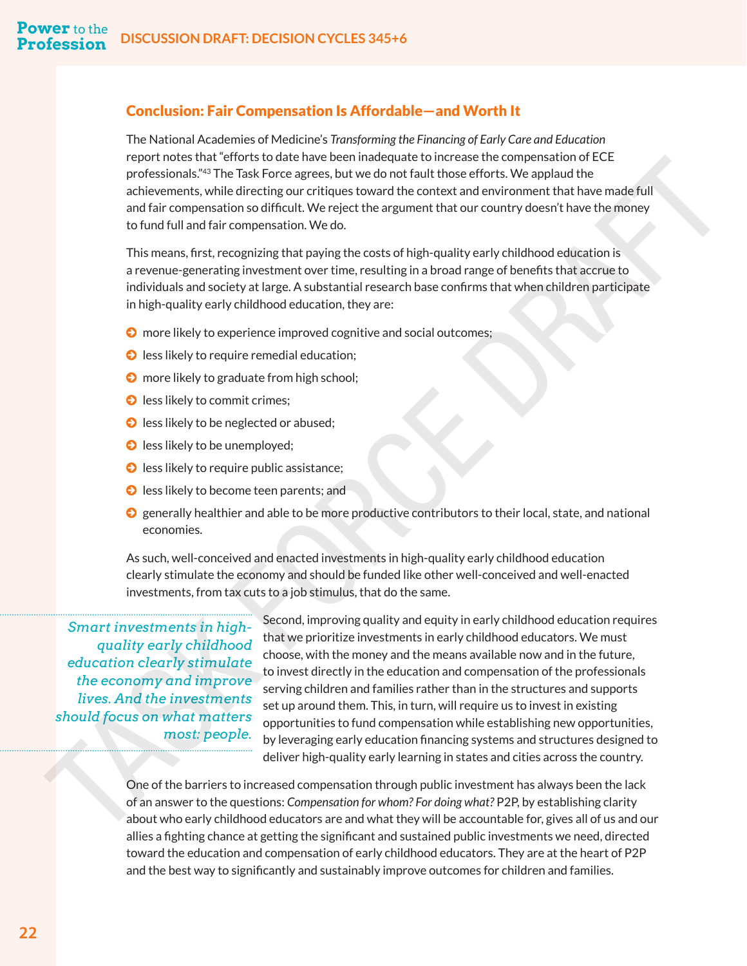#### <span id="page-24-0"></span>Conclusion: Fair Compensation Is Affordable—and Worth It

The National Academies of Medicine's *Transforming the Financing of Early Care and Education* report notes that "efforts to date have been inadequate to increase the compensation of ECE professionals."<sup>43</sup> The Task Force agrees, but we do not fault those efforts. We applaud the achievements, while directing our critiques toward the context and environment that have made full and fair compensation so difficult. We reject the argument that our country doesn't have the money to fund full and fair compensation. We do.

This means, first, recognizing that paying the costs of high-quality early childhood education is a revenue-generating investment over time, resulting in a broad range of benefits that accrue to individuals and society at large. A substantial research base confirms that when children participate in high-quality early childhood education, they are:

- **◯** more likely to experience improved cognitive and social outcomes;
- **◯** less likely to require remedial education;
- **◯** more likely to graduate from high school;
- **O** less likely to commit crimes;
- **◯** less likely to be neglected or abused;
- **◯** less likely to be unemployed;
- **◯** less likely to require public assistance;
- **◯** less likely to become teen parents; and
- © generally healthier and able to be more productive contributors to their local, state, and national economies.

As such, well-conceived and enacted investments in high-quality early childhood education clearly stimulate the economy and should be funded like other well-conceived and well-enacted investments, from tax cuts to a job stimulus, that do the same.

*Smart investments in highquality early childhood education clearly stimulate the economy and improve lives. And the investments should focus on what matters* 

Second, improving quality and equity in early childhood education requires that we prioritize investments in early childhood educators. We must choose, with the money and the means available now and in the future, to invest directly in the education and compensation of the professionals serving children and families rather than in the structures and supports set up around them. This, in turn, will require us to invest in existing opportunities to fund compensation while establishing new opportunities, by leveraging early education financing systems and structures designed to deliver high-quality early learning in states and cities across the country. **Profit notes taxt around the best most consider the complete the complete that the other in the most people. The most people. The most people is a most people in the most people. The most people is a most people in the mo** 

One of the barriers to increased compensation through public investment has always been the lack of an answer to the questions: *Compensation for whom? For doing what?* P2P, by establishing clarity about who early childhood educators are and what they will be accountable for, gives all of us and our allies a fighting chance at getting the significant and sustained public investments we need, directed toward the education and compensation of early childhood educators. They are at the heart of P2P and the best way to significantly and sustainably improve outcomes for children and families.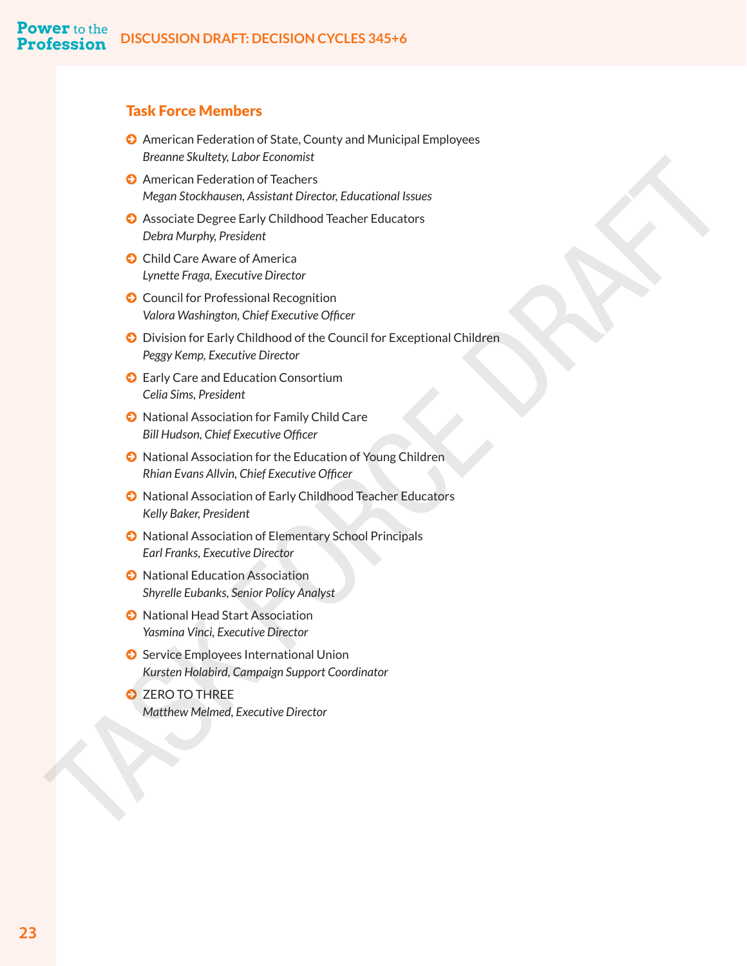#### Task Force Members

- © American Federation of State, County and Municipal Employees *Breanne Skultety, Labor Economist*
- © American Federation of Teachers *Megan Stockhausen, Assistant Director, Educational Issues*
- © Associate Degree Early Childhood Teacher Educators *Debra Murphy, President*
- **◯** Child Care Aware of America *Lynette Fraga, Executive Director*
- **◯** Council for Professional Recognition *Valora Washington, Chief Executive Officer*
- © Division for Early Childhood of the Council for Exceptional Children *Peggy Kemp, Executive Director* **Brown Swatch Cancel Controllers**<br> **Matthew Melmed, Controllers**<br> **Matthew Melmed, Theoretical Procedures Assistant Director Education Telector Technology Capacity Department Denter Task Controller Schedulers (Security Pro** 
	- **◯** Early Care and Education Consortium *Celia Sims, President*
	- © National Association for Family Child Care *Bill Hudson, Chief Executive Officer*
	- © National Association for the Education of Young Children *Rhian Evans Allvin, Chief Executive Officer*
	- © National Association of Early Childhood Teacher Educators *Kelly Baker, President*
	- © National Association of Elementary School Principals *Earl Franks, Executive Director*
	- © National Education Association *Shyrelle Eubanks, Senior Policy Analyst*
	- © National Head Start Association *Yasmina Vinci, Executive Director*
	- **◯** Service Employees International Union *Kursten Holabird, Campaign Support Coordinator*
	- © ZERO TO THREE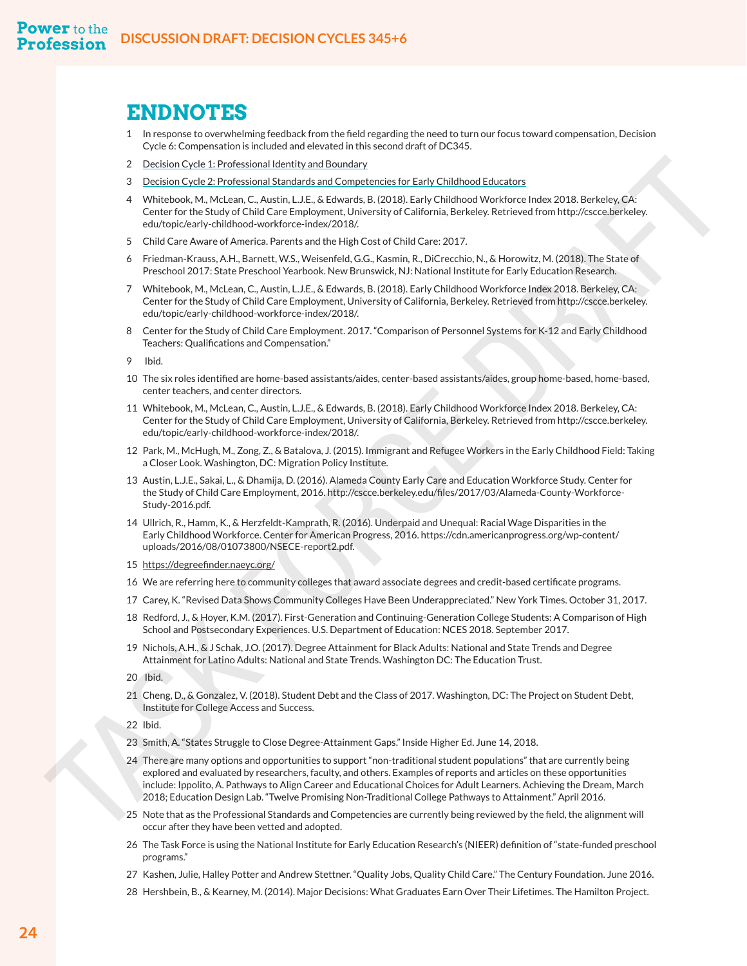# **ENDNOTES**

- [1](#page-4-0) In response to overwhelming feedback from the field regarding the need to turn our focus toward compensation, Decision Cycle 6: Compensation is included and elevated in this second draft of DC345.
- 2 Decision Cycle 1: Professional Identity and Boundary
- 3 Decision Cycle 2: Professional Standards and Competencies for Early Childhood Educators
- 4 Whitebook, M., McLean, C., Austin, L.J.E., & Edwards, B. (2018). Early Childhood Workforce Index 2018. Berkeley, CA: Center for the Study of Child Care Employment, University of California, Berkeley. Retrieved from http://cscce.berkeley. edu/topic/early-childhood-workforce-index/2018/.
- 5 Child Care Aware of America. Parents and the High Cost of Child Care: 2017.
- 6 Friedman-Krauss, A.H., Barnett, W.S., Weisenfeld, G.G., Kasmin, R., DiCrecchio, N., & Horowitz, M. (2018). The State of Preschool 2017: State Preschool Yearbook. New Brunswick, NJ: National Institute for Early Education Research.
- 7 Whitebook, M., McLean, C., Austin, L.J.E., & Edwards, B. (2018). Early Childhood Workforce Index 2018. Berkeley, CA: Center for the Study of Child Care Employment, University of California, Berkeley. Retrieved from http://cscce.berkeley. edu/topic/early-childhood-workforce-index/2018/.
- 8 Center for the Study of Child Care Employment. 2017. "Comparison of Personnel Systems for K-12 and Early Childhood Teachers: Qualifications and Compensation."

9 Ibid.

- 10 The six roles identified are home-based assistants/aides, center-based assistants/aides, group home-based, home-based, center teachers, and center directors.
- 11 Whitebook, M., McLean, C., Austin, L.J.E., & Edwards, B. (2018). Early Childhood Workforce Index 2018. Berkeley, CA: Center for the Study of Child Care Employment, University of California, Berkeley. Retrieved from http://cscce.berkeley. edu/topic/early-childhood-workforce-index/2018/.
- 12 Park, M., McHugh, M., Zong, Z., & Batalova, J. (2015). Immigrant and Refugee Workers in the Early Childhood Field: Taking a Closer Look. Washington, DC: Migration Policy Institute.
- 13 Austin, L.J.E., Sakai, L., & Dhamija, D. (2016). Alameda County Early Care and Education Workforce Study. Center for the Study of Child Care Employment, 2016. http://cscce.berkeley.edu/files/2017/03/Alameda-County-Workforce-Study-2016.pdf.
- 14 Ullrich, R., Hamm, K., & Herzfeldt-Kamprath, R. (2016). Underpaid and Unequal: Racial Wage Disparities in the Early Childhood Workforce. Center for American Progress, 2016. https://cdn.americanprogress.org/wp-content/ uploads/2016/08/01073800/NSECE-report2.pdf.
- 15 https://degreefinder.naeyc.org/
- 16 We are referring here to community colleges that award associate degrees and credit-based certificate programs.
- 17 Carey, K. "Revised Data Shows Community Colleges Have Been Underappreciated." New York Times. October 31, 2017.
- 18 Redford, J., & Hoyer, K.M. (2017). First-Generation and Continuing-Generation College Students: A Comparison of High School and Postsecondary Experiences. U.S. Department of Education: NCES 2018. September 2017.
- 19 Nichols, A.H., & J Schak, J.O. (2017). Degree Attainment for Black Adults: National and State Trends and Degree Attainment for Latino Adults: National and State Trends. Washington DC: The Education Trust.

20 Ibid.

21 Cheng, D., & Gonzalez, V. (2018). Student Debt and the Class of 2017. Washington, DC: The Project on Student Debt, Institute for College Access and Success.

22 Ibid.

- 23 Smith, A. "States Struggle to Close Degree-Attainment Gaps." Inside Higher Ed. June 14, 2018.
- <span id="page-26-0"></span>24 There are many options and opportunities to support "non-traditional student populations" that are currently being explored and evaluated by researchers, faculty, and others. Examples of reports and articles on these opportunities include: Ippolito, A. Pathways to Align Career and Educational Choices for Adult Learners. Achieving the Dream, March 2018; Education Design Lab. "Twelve Promising Non-Traditional College Pathways to Attainment." April 2016. 2 Decision: Color External Matthews Countering the transformation of the formula color technique of the state of the state of the state of the state of the state of the state of the state of the state of the state of the
	- 25 Note that as the Professional Standards and Competencies are currently being reviewed by the field, the alignment will occur after they have been vetted and adopted.
	- [26](#page-16-0) The Task Force is using the National Institute for Early Education Research's (NIEER) definition of "state-funded preschool programs."
	- [27](#page-19-0) Kashen, Julie, Halley Potter and Andrew Stettner. "Quality Jobs, Quality Child Care." The Century Foundation. June 2016.
	- [28](#page-19-0) Hershbein, B., & Kearney, M. (2014). Major Decisions: What Graduates Earn Over Their Lifetimes. The Hamilton Project.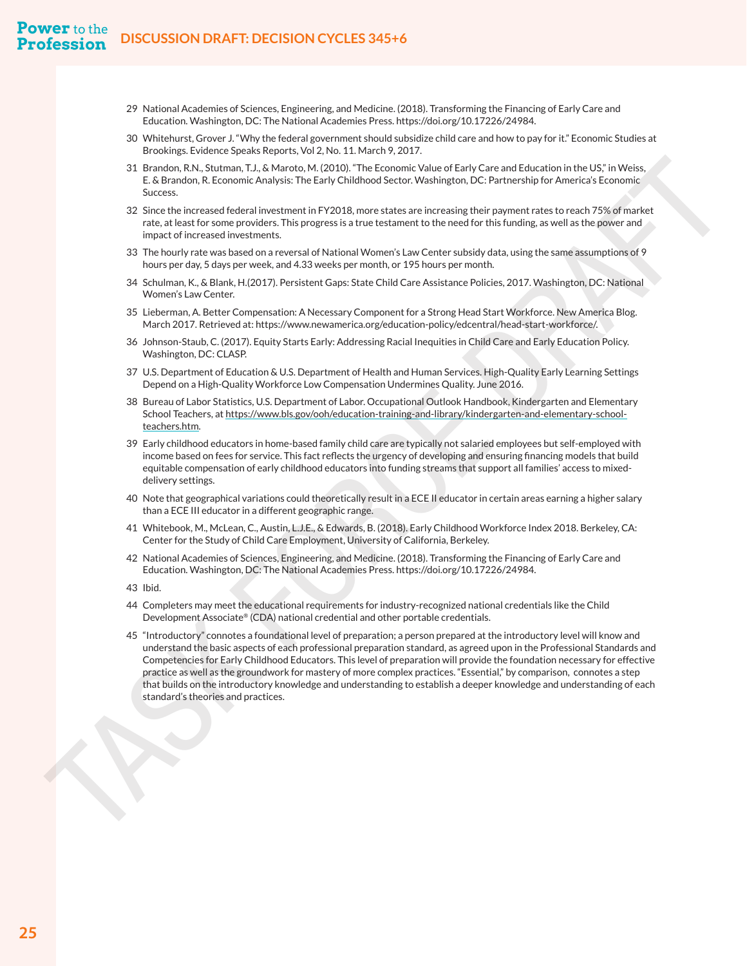- [29](#page-19-0) National Academies of Sciences, Engineering, and Medicine. (2018). Transforming the Financing of Early Care and Education. Washington, DC: The National Academies Press. https://doi.org/10.17226/24984.
- [30](#page-19-0) Whitehurst, Grover J. "Why the federal government should subsidize child care and how to pay for it." Economic Studies at Brookings. Evidence Speaks Reports, Vol 2, No. 11. March 9, 2017.
- 31 Brandon, R.N., Stutman, T.J., & Maroto, M. (2010). "The Economic Value of Early Care and Education in the US," in Weiss, E. & Brandon, R. Economic Analysis: The Early Childhood Sector. Washington, DC: Partnership for America's Economic Success.
- 32 Since the increased federal investment in FY2018, more states are increasing their payment rates to reach 75% of market rate, at least for some providers. This progress is a true testament to the need for this funding, as well as the power and impact of increased investments.
- 33 The hourly rate was based on a reversal of National Women's Law Center subsidy data, using the same assumptions of 9 hours per day, 5 days per week, and 4.33 weeks per month, or 195 hours per month.
- 34 Schulman, K., & Blank, H.(2017). Persistent Gaps: State Child Care Assistance Policies, 2017. Washington, DC: National Women's Law Center.
- 35 Lieberman, A. Better Compensation: A Necessary Component for a Strong Head Start Workforce. New America Blog. March 2017. Retrieved at: https://www.newamerica.org/education-policy/edcentral/head-start-workforce/.
- 36 Johnson-Staub, C. (2017). Equity Starts Early: Addressing Racial Inequities in Child Care and Early Education Policy. Washington, DC: CLASP.
- 37 U.S. Department of Education & U.S. Department of Health and Human Services. High-Quality Early Learning Settings Depend on a High-Quality Workforce Low Compensation Undermines Quality. June 2016.
- 38 Bureau of Labor Statistics, U.S. Department of Labor. Occupational Outlook Handbook, Kindergarten and Elementary School Teachers, at https://www.bls.gov/ooh/education-training-and-library/kindergarten-and-elementary-schoolteachers.htm.
- 39 Early childhood educators in home-based family child care are typically not salaried employees but self-employed with income based on fees for service. This fact reflects the urgency of developing and ensuring financing models that build equitable compensation of early childhood educators into funding streams that support all families' access to mixeddelivery settings.
- 40 Note that geographical variations could theoretically result in a ECE II educator in certain areas earning a higher salary than a ECE III educator in a different geographic range.
- 41 Whitebook, M., McLean, C., Austin, L.J.E., & Edwards, B. (2018). Early Childhood Workforce Index 2018. Berkeley, CA: Center for the Study of Child Care Employment, University of California, Berkeley.
- 42 National Academies of Sciences, Engineering, and Medicine. (2018). Transforming the Financing of Early Care and Education. Washington, DC: The National Academies Press. https://doi.org/10.17226/24984.
- 43 Ibid.
- 44 Completers may meet the educational requirements for industry-recognized national credentials like the Child Development Associate® (CDA) national credential and other portable credentials.
- <span id="page-27-0"></span>45 "Introductory" connotes a foundational level of preparation; a person prepared at the introductory level will know and understand the basic aspects of each professional preparation standard, as agreed upon in the Professional Standards and Competencies for Early Childhood Educators. This level of preparation will provide the foundation necessary for effective practice as well as the groundwork for mastery of more complex practices. "Essential," by comparison, connotes a step that builds on the introductory knowledge and understanding to establish a deeper knowledge and understanding of each standard (APL assumes at the forest particle in the standard standard in the standard in the standard standard in the standard standard in the standard standard in the standard standard in the standard in the standard sta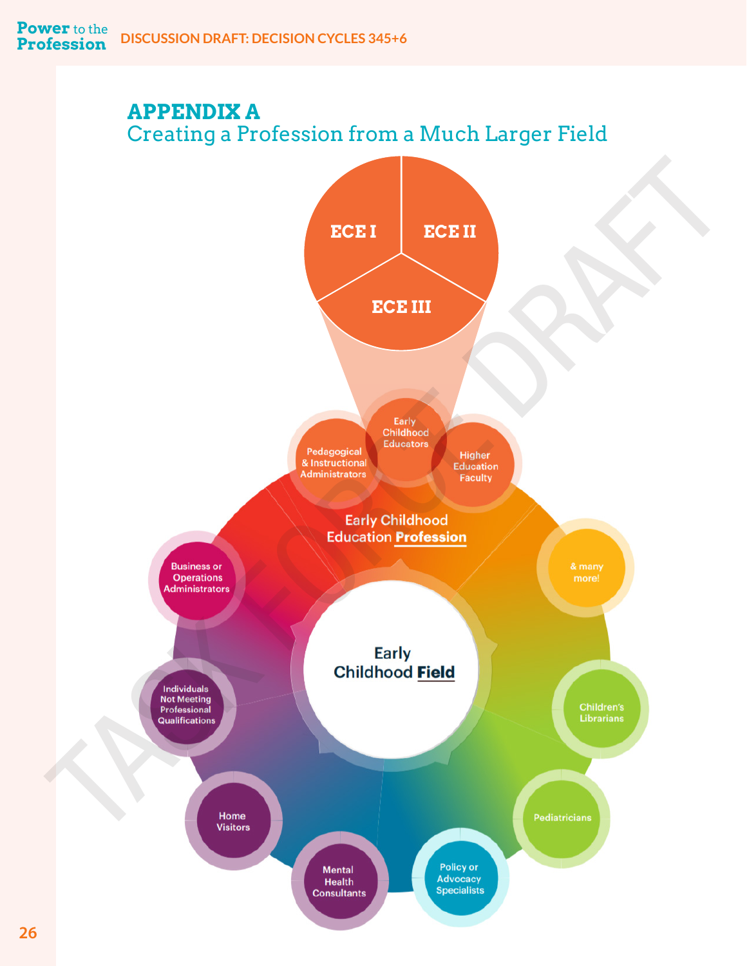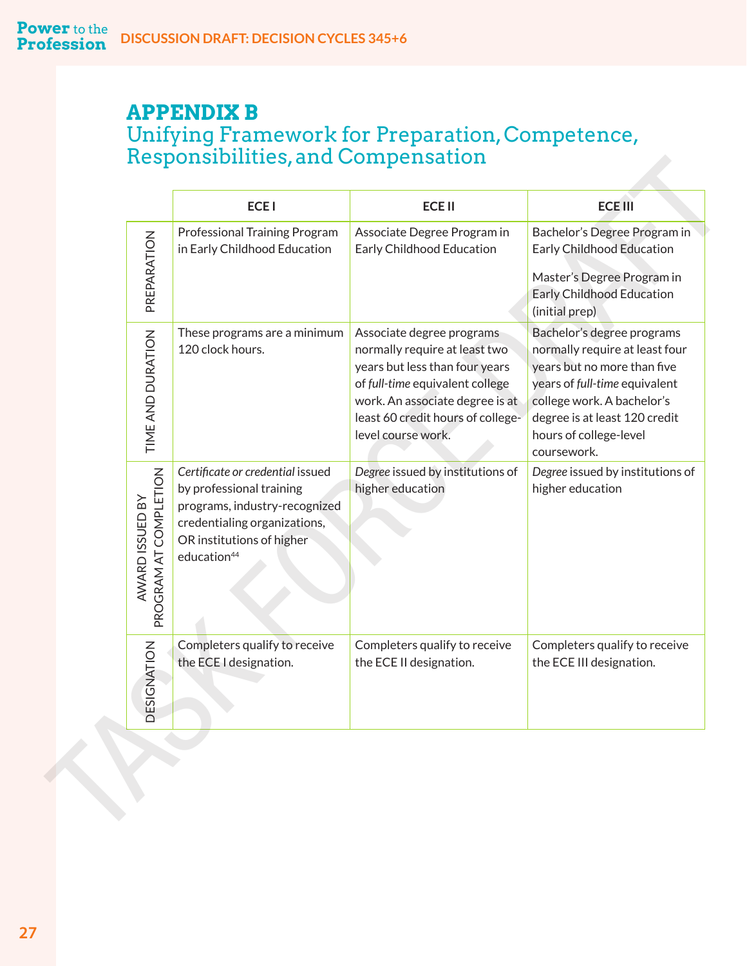# <span id="page-29-0"></span>**APPENDIX B** Unifying Framework for Preparation, Competence, Responsibilities, and Compensation

|                                          | <b>ECEI</b>                                                                                                                                                                           | <b>ECEII</b>                                                                                                                                                                                                                  | <b>ECE III</b>                                                                                                                                                                                                                       |
|------------------------------------------|---------------------------------------------------------------------------------------------------------------------------------------------------------------------------------------|-------------------------------------------------------------------------------------------------------------------------------------------------------------------------------------------------------------------------------|--------------------------------------------------------------------------------------------------------------------------------------------------------------------------------------------------------------------------------------|
| PREPARATION                              | Professional Training Program<br>in Early Childhood Education                                                                                                                         | Associate Degree Program in<br>Early Childhood Education                                                                                                                                                                      | Bachelor's Degree Program in<br>Early Childhood Education<br>Master's Degree Program in<br><b>Early Childhood Education</b><br>(initial prep)                                                                                        |
| TIME AND DURATION                        | These programs are a minimum<br>120 clock hours.                                                                                                                                      | Associate degree programs<br>normally require at least two<br>years but less than four years<br>of full-time equivalent college<br>work. An associate degree is at<br>least 60 credit hours of college-<br>level course work. | Bachelor's degree programs<br>normally require at least four<br>years but no more than five<br>years of full-time equivalent<br>college work. A bachelor's<br>degree is at least 120 credit<br>hours of college-level<br>coursework. |
| PROGRAM AT COMPLETION<br>AWARD ISSUED BY | Certificate or credential issued<br>by professional training<br>programs, industry-recognized<br>credentialing organizations,<br>OR institutions of higher<br>education <sup>44</sup> | Degree issued by institutions of<br>higher education                                                                                                                                                                          | Degree issued by institutions of<br>higher education                                                                                                                                                                                 |
| <b>SIGNATION</b><br>험                    | Completers qualify to receive<br>the ECE I designation.                                                                                                                               | Completers qualify to receive<br>the ECE II designation.                                                                                                                                                                      | Completers qualify to receive<br>the ECE III designation.                                                                                                                                                                            |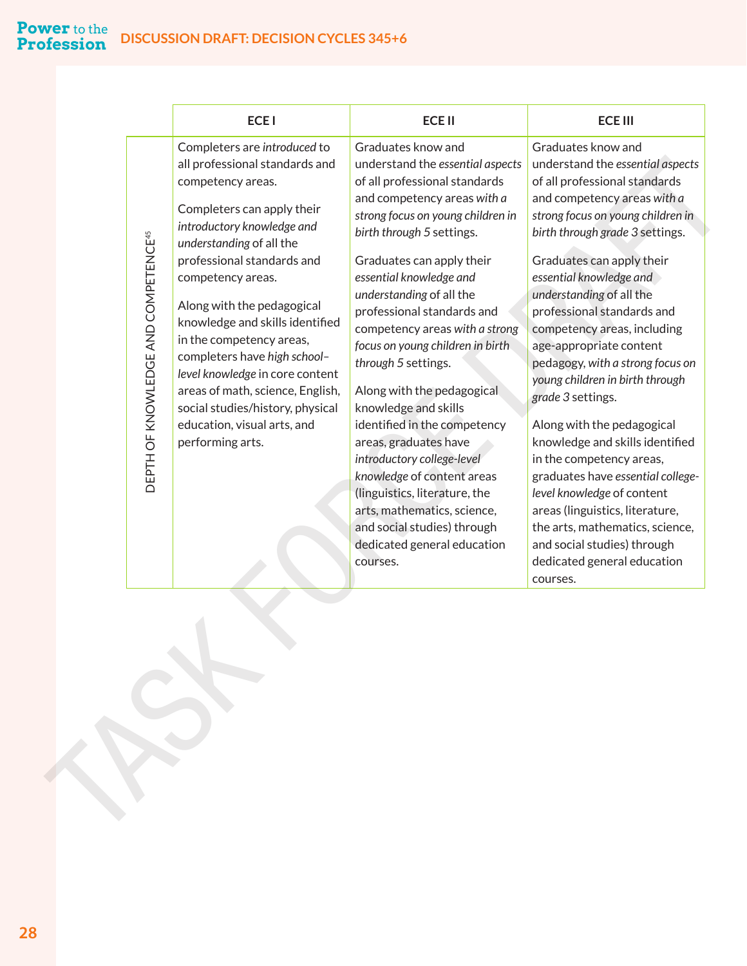#### <span id="page-30-0"></span>**DISCUSSION DRAFT: DECISION CYCLES 345+6 Power** to the **Profession**

| <b>ECEI</b>                                                                                                                                                                                                                                                                                                                                                                                                                                                                                                                                                                  | <b>ECEII</b>                                                                                                                                                                                                                                                                                                                                                                                                                                                                                                                                                                                                                                                                                                                 | <b>ECE III</b>                                                                                                                                                                                                                                                                                                                                                                                                                                                                                                                                                                                                                                                                                                                                                             |
|------------------------------------------------------------------------------------------------------------------------------------------------------------------------------------------------------------------------------------------------------------------------------------------------------------------------------------------------------------------------------------------------------------------------------------------------------------------------------------------------------------------------------------------------------------------------------|------------------------------------------------------------------------------------------------------------------------------------------------------------------------------------------------------------------------------------------------------------------------------------------------------------------------------------------------------------------------------------------------------------------------------------------------------------------------------------------------------------------------------------------------------------------------------------------------------------------------------------------------------------------------------------------------------------------------------|----------------------------------------------------------------------------------------------------------------------------------------------------------------------------------------------------------------------------------------------------------------------------------------------------------------------------------------------------------------------------------------------------------------------------------------------------------------------------------------------------------------------------------------------------------------------------------------------------------------------------------------------------------------------------------------------------------------------------------------------------------------------------|
| Completers are introduced to<br>all professional standards and<br>competency areas.<br>Completers can apply their<br>introductory knowledge and<br>DEPTH OF KNOWLEDGE AND COMPETENCE <sup>45</sup><br>understanding of all the<br>professional standards and<br>competency areas.<br>Along with the pedagogical<br>knowledge and skills identified<br>in the competency areas,<br>completers have high school-<br>level knowledge in core content<br>areas of math, science, English,<br>social studies/history, physical<br>education, visual arts, and<br>performing arts. | Graduates know and<br>understand the essential aspects<br>of all professional standards<br>and competency areas with a<br>strong focus on young children in<br>birth through 5 settings.<br>Graduates can apply their<br>essential knowledge and<br>understanding of all the<br>professional standards and<br>competency areas with a strong<br>focus on young children in birth<br>through 5 settings.<br>Along with the pedagogical<br>knowledge and skills<br>identified in the competency<br>areas, graduates have<br>introductory college-level<br>knowledge of content areas<br>(linguistics, literature, the<br>arts, mathematics, science,<br>and social studies) through<br>dedicated general education<br>courses. | Graduates know and<br>understand the essential aspects<br>of all professional standards<br>and competency areas with a<br>strong focus on young children in<br>birth through grade 3 settings.<br>Graduates can apply their<br>essential knowledge and<br>understanding of all the<br>professional standards and<br>competency areas, including<br>age-appropriate content<br>pedagogy, with a strong focus on<br>young children in birth through<br>grade 3 settings.<br>Along with the pedagogical<br>knowledge and skills identified<br>in the competency areas,<br>graduates have essential college-<br>level knowledge of content<br>areas (linguistics, literature,<br>the arts, mathematics, science,<br>and social studies) through<br>dedicated general education |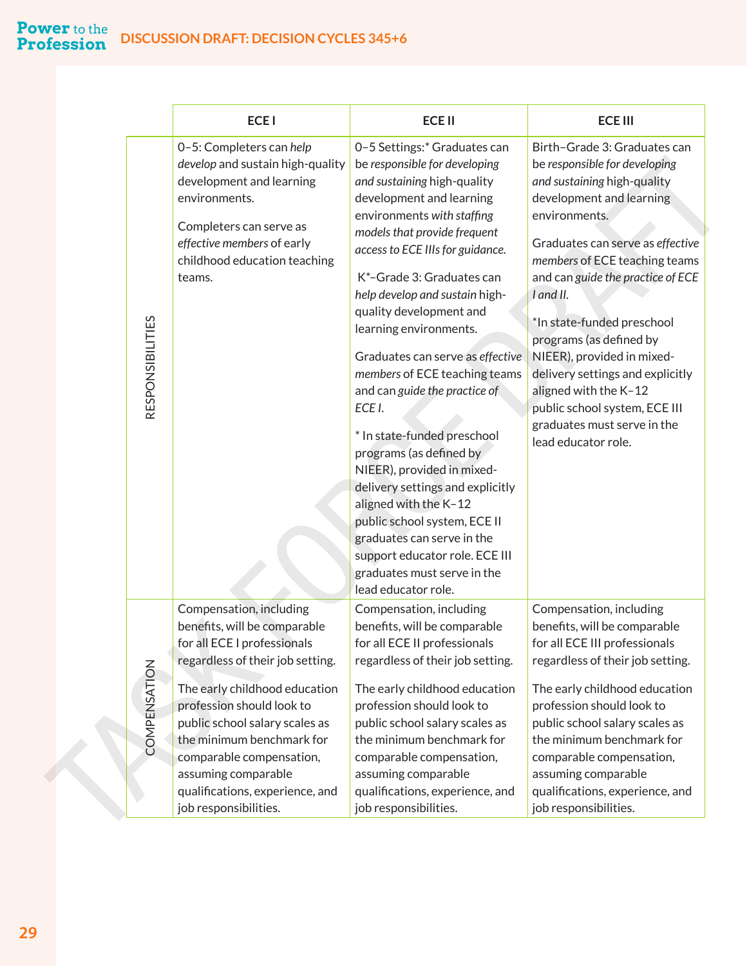#### **Power** to the **DISCUSSION DRAFT: DECISION CYCLES 345+6 Profession**

|                         | <b>ECEI</b>                                                                                                                                                                                                                                                                                                                                                            | <b>ECE II</b>                                                                                                                                                                                                                                                                                                                                                                                                                                                                                                                                                                                                                                                                                                                                                             | <b>ECE III</b>                                                                                                                                                                                                                                                                                                                                                                                                                                                                                              |
|-------------------------|------------------------------------------------------------------------------------------------------------------------------------------------------------------------------------------------------------------------------------------------------------------------------------------------------------------------------------------------------------------------|---------------------------------------------------------------------------------------------------------------------------------------------------------------------------------------------------------------------------------------------------------------------------------------------------------------------------------------------------------------------------------------------------------------------------------------------------------------------------------------------------------------------------------------------------------------------------------------------------------------------------------------------------------------------------------------------------------------------------------------------------------------------------|-------------------------------------------------------------------------------------------------------------------------------------------------------------------------------------------------------------------------------------------------------------------------------------------------------------------------------------------------------------------------------------------------------------------------------------------------------------------------------------------------------------|
| <b>RESPONSIBILITIES</b> | 0-5: Completers can help<br>develop and sustain high-quality<br>development and learning<br>environments.<br>Completers can serve as<br>effective members of early<br>childhood education teaching<br>teams.                                                                                                                                                           | 0-5 Settings:* Graduates can<br>be responsible for developing<br>and sustaining high-quality<br>development and learning<br>environments with staffing<br>models that provide frequent<br>access to ECE IIIs for guidance.<br>K*-Grade 3: Graduates can<br>help develop and sustain high-<br>quality development and<br>learning environments.<br>Graduates can serve as effective<br>members of ECE teaching teams<br>and can guide the practice of<br>ECE I.<br>* In state-funded preschool<br>programs (as defined by<br>NIEER), provided in mixed-<br>delivery settings and explicitly<br>aligned with the K-12<br>public school system, ECE II<br>graduates can serve in the<br>support educator role. ECE III<br>graduates must serve in the<br>lead educator role. | Birth-Grade 3: Graduates can<br>be responsible for developing<br>and sustaining high-quality<br>development and learning<br>environments.<br>Graduates can serve as effective<br>members of ECE teaching teams<br>and can guide the practice of ECE<br>I and II.<br>*In state-funded preschool<br>programs (as defined by<br>NIEER), provided in mixed-<br>delivery settings and explicitly<br>aligned with the K-12<br>public school system, ECE III<br>graduates must serve in the<br>lead educator role. |
| COMPENSATION            | Compensation, including<br>benefits, will be comparable<br>for all ECE I professionals<br>regardless of their job setting.<br>The early childhood education<br>profession should look to<br>public school salary scales as<br>the minimum benchmark for<br>comparable compensation,<br>assuming comparable<br>qualifications, experience, and<br>job responsibilities. | Compensation, including<br>benefits, will be comparable<br>for all ECE II professionals<br>regardless of their job setting.<br>The early childhood education<br>profession should look to<br>public school salary scales as<br>the minimum benchmark for<br>comparable compensation,<br>assuming comparable<br>qualifications, experience, and<br>job responsibilities.                                                                                                                                                                                                                                                                                                                                                                                                   | Compensation, including<br>benefits, will be comparable<br>for all ECE III professionals<br>regardless of their job setting.<br>The early childhood education<br>profession should look to<br>public school salary scales as<br>the minimum benchmark for<br>comparable compensation,<br>assuming comparable<br>qualifications, experience, and<br>job responsibilities.                                                                                                                                    |